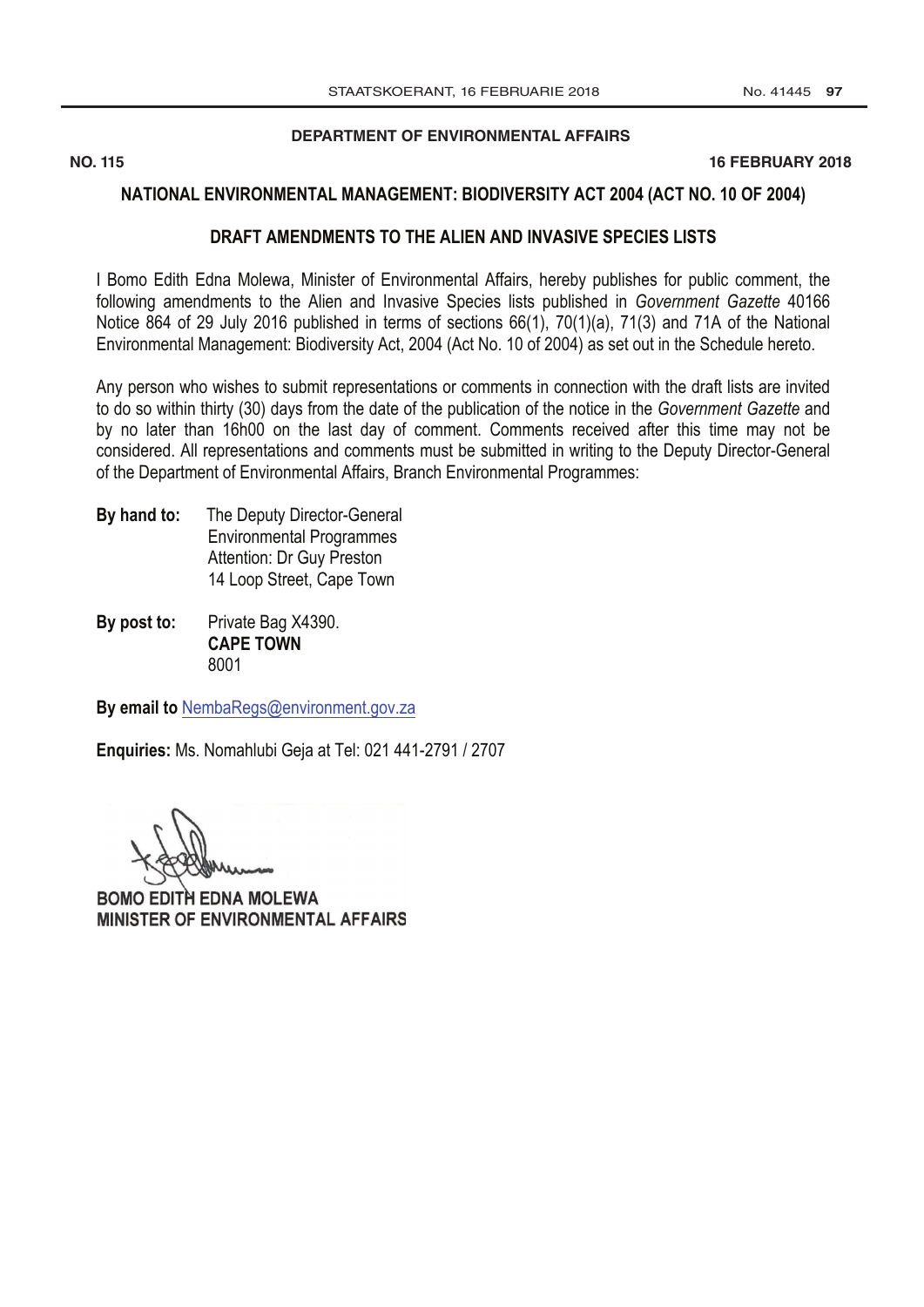**[DEPARTMENT OF ENVIRONMENTAL AFFAIRS](http://www.greengazette.co.za/departments/envonmental)**

**NO. 115 16 FEBRUARY 2018** 

### **NATIONAL ENVIRONMENTAL MANAGEMENT: BIODIVERSITY ACT 2004 (ACT NO. 10 OF 2004)**

### **DRAFT AMENDMENTS TO THE ALIEN AND INVASIVE SPECIES LISTS**

I Bomo Edith Edna Molewa, Minister of Environmental Affairs, hereby publishes for public comment, the following amendments to the Alien and Invasive Species lists published in *[Government Gazette](http://www.greengazette.co.za/government-gazette)* 40166 Notice 864 of 29 July 2016 published in terms of sections 66(1), 70(1)(a), 71(3) and 71A of the National Environmental Management: Biodiversity Act, 2004 (Act No. 10 of 2004) as set out in the Schedule hereto.

Any person who wishes to submit representations or comments in connection with the draft lists are invited to do so within thirty (30) days from the date of the publication of the notice in the *[Government](http://www.greengazette.co.za/government-gazette) Gazette* and by no later than 16h00 on the last day of comment. Comments received after this time may not be considered. All representations and comments must be submitted in writing to the Deputy Director-General of the [Department of Environmental](http://www.greengazette.co.za/departments/envonmental) Affairs, Branch Environmental Programmes:

- **By hand to:** The Deputy Director-General Environmental Programmes Attention: Dr Guy Preston 14 Loop Street, Cape Town
- **By post to:** Private Bag X4390. **CAPE TOWN**  8001

**By email to** NembaRegs@environment.gov.za

**Enquiries:** Ms. Nomahlubi Geja at Tel: 021 441-2791 / 2707

BOMO EDITH EDNA MOLEWA MINISTER OF ENVIRONMENTAL AFFAIRS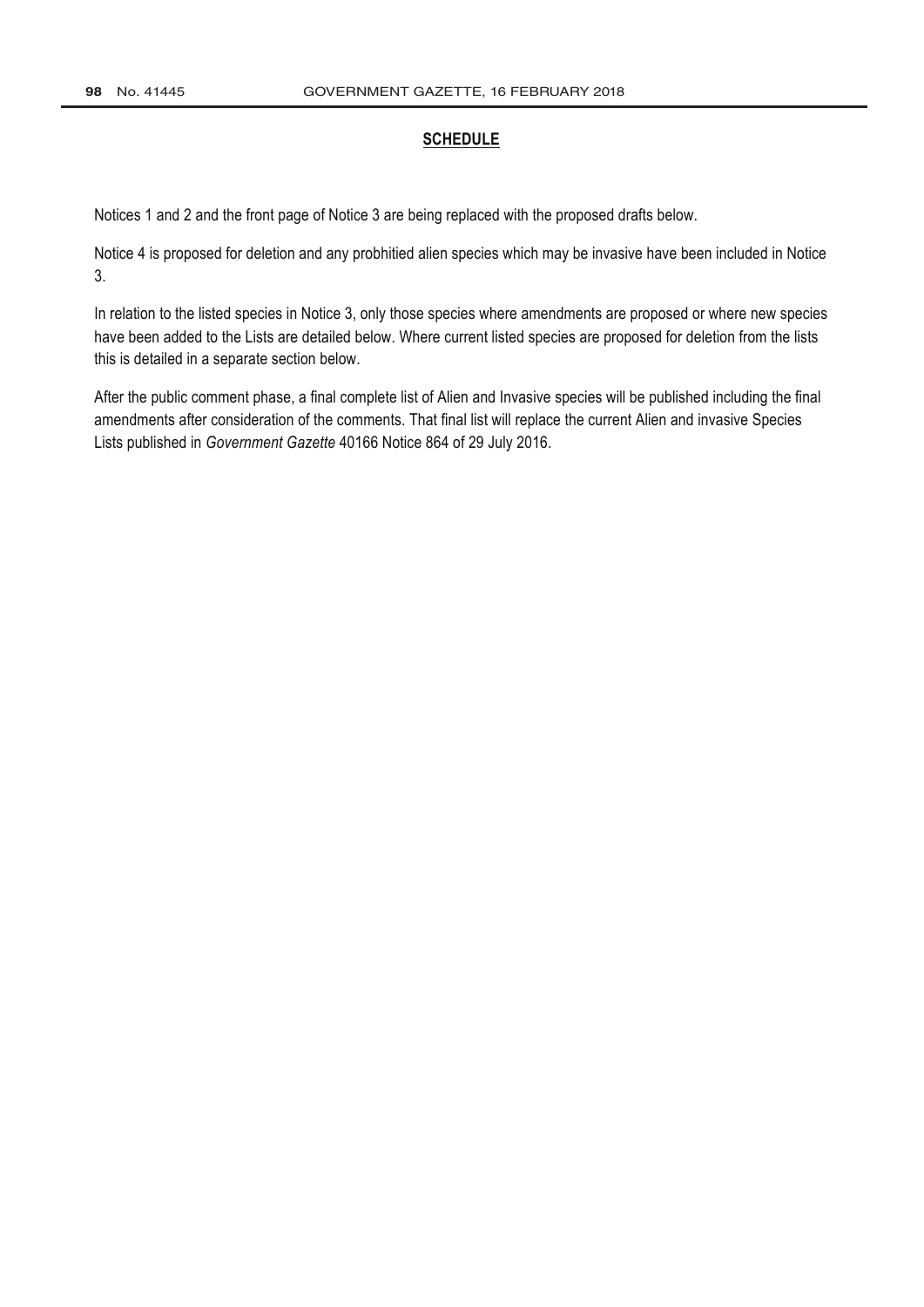### **SCHEDULE**

Notices 1 and 2 and the front page of Notice 3 are being replaced with the proposed drafts below.

Notice 4 is proposed for deletion and any probhitied alien species which may be invasive have been included in Notice 3.

In relation to the listed species in Notice 3, only those species where amendments are proposed or where new species have been added to the Lists are detailed below. Where current listed species are proposed for deletion from the lists this is detailed in a separate section below.

After the public comment phase, a final complete list of Alien and Invasive species will be published including the final amendments after consideration of the comments. That final list will replace the current Alien and invasive Species Lists published in *[Government Gazette](http://www.greengazette.co.za/government-gazette)* 40166 Notice 864 of 29 July 2016.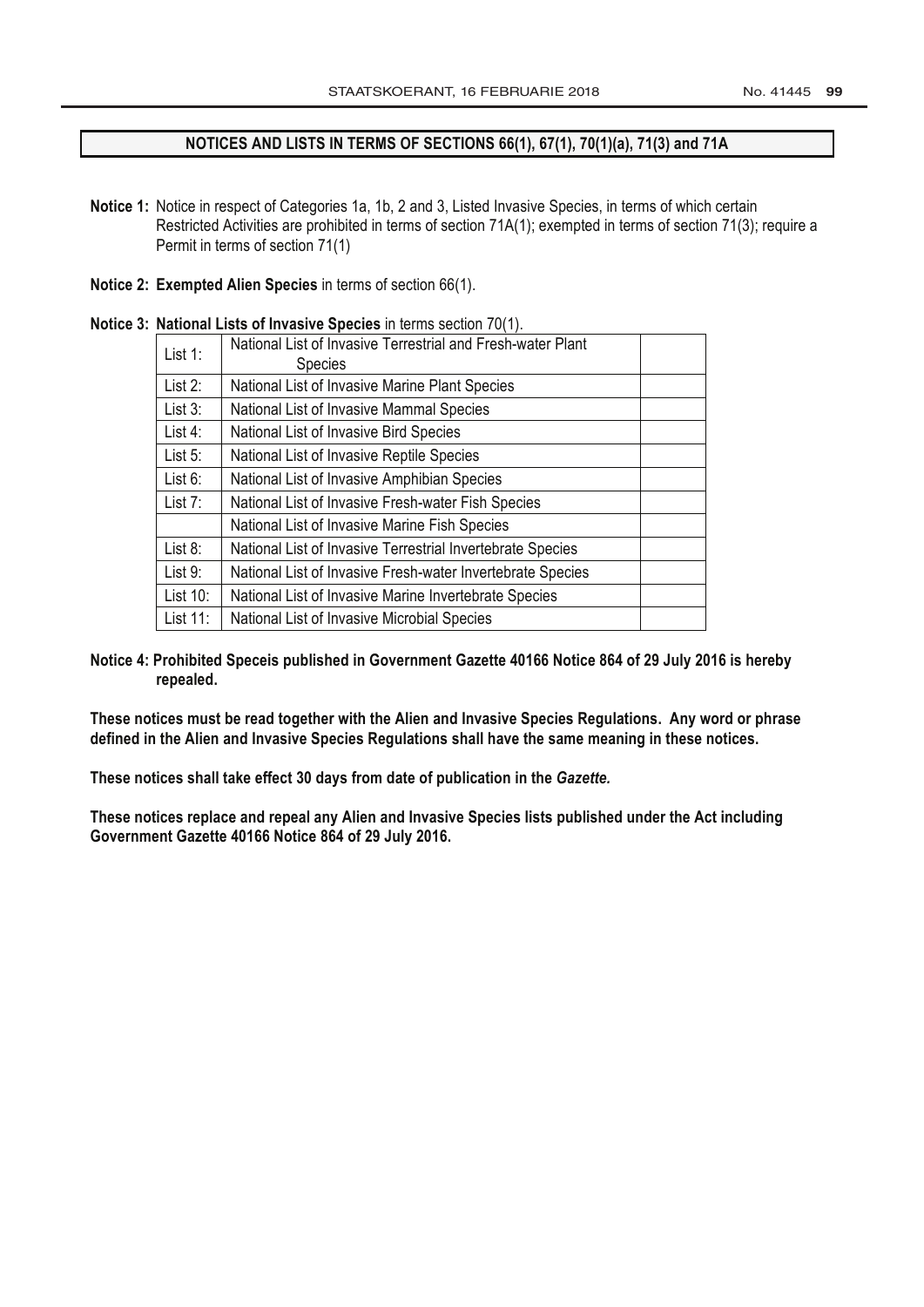### **NOTICES AND LISTS IN TERMS OF SECTIONS 66(1), 67(1), 70(1)(a), 71(3) and 71A**

- **Notice 1:** Notice in respect of Categories 1a, 1b, 2 and 3, Listed Invasive Species, in terms of which certain Restricted Activities are prohibited in terms of section 71A(1); exempted in terms of section 71(3); require a Permit in terms of section 71(1)
- **Notice 2: Exempted Alien Species** in terms of section 66(1).

|            | <b>National Lists of Invasive Opecies</b> in terms section For H. |  |
|------------|-------------------------------------------------------------------|--|
| List 1:    | National List of Invasive Terrestrial and Fresh-water Plant       |  |
|            | <b>Species</b>                                                    |  |
| List 2:    | National List of Invasive Marine Plant Species                    |  |
| List $3$ : | National List of Invasive Mammal Species                          |  |
| List $4$ : | National List of Invasive Bird Species                            |  |
| List $5:$  | National List of Invasive Reptile Species                         |  |
| List $6$ : | National List of Invasive Amphibian Species                       |  |
| List $7:$  | National List of Invasive Fresh-water Fish Species                |  |
|            | National List of Invasive Marine Fish Species                     |  |
| List 8:    | National List of Invasive Terrestrial Invertebrate Species        |  |
| List 9:    | National List of Invasive Fresh-water Invertebrate Species        |  |
| List 10:   | National List of Invasive Marine Invertebrate Species             |  |
| List 11:   | National List of Invasive Microbial Species                       |  |

**Notice 3: National Lists of Invasive Species** in terms section 70(1).

**Notice 4: Prohibited Speceis published in [Government Gazette](http://www.greengazette.co.za/government-gazette) 40166 Notice 864 of 29 July 2016 is hereby repealed.**

**These notices must be read together with the Alien and Invasive Species Regulations. Any word or phrase defined in the Alien and Invasive Species Regulations shall have the same meaning in these notices.**

**These notices shall take effect 30 days from date of publication in the** *Gazette.*

**These notices replace and repeal any Alien and Invasive Species lists published under the Act including [Government Gazette](http://www.greengazette.co.za/government-gazette) 40166 Notice 864 of 29 July 2016.**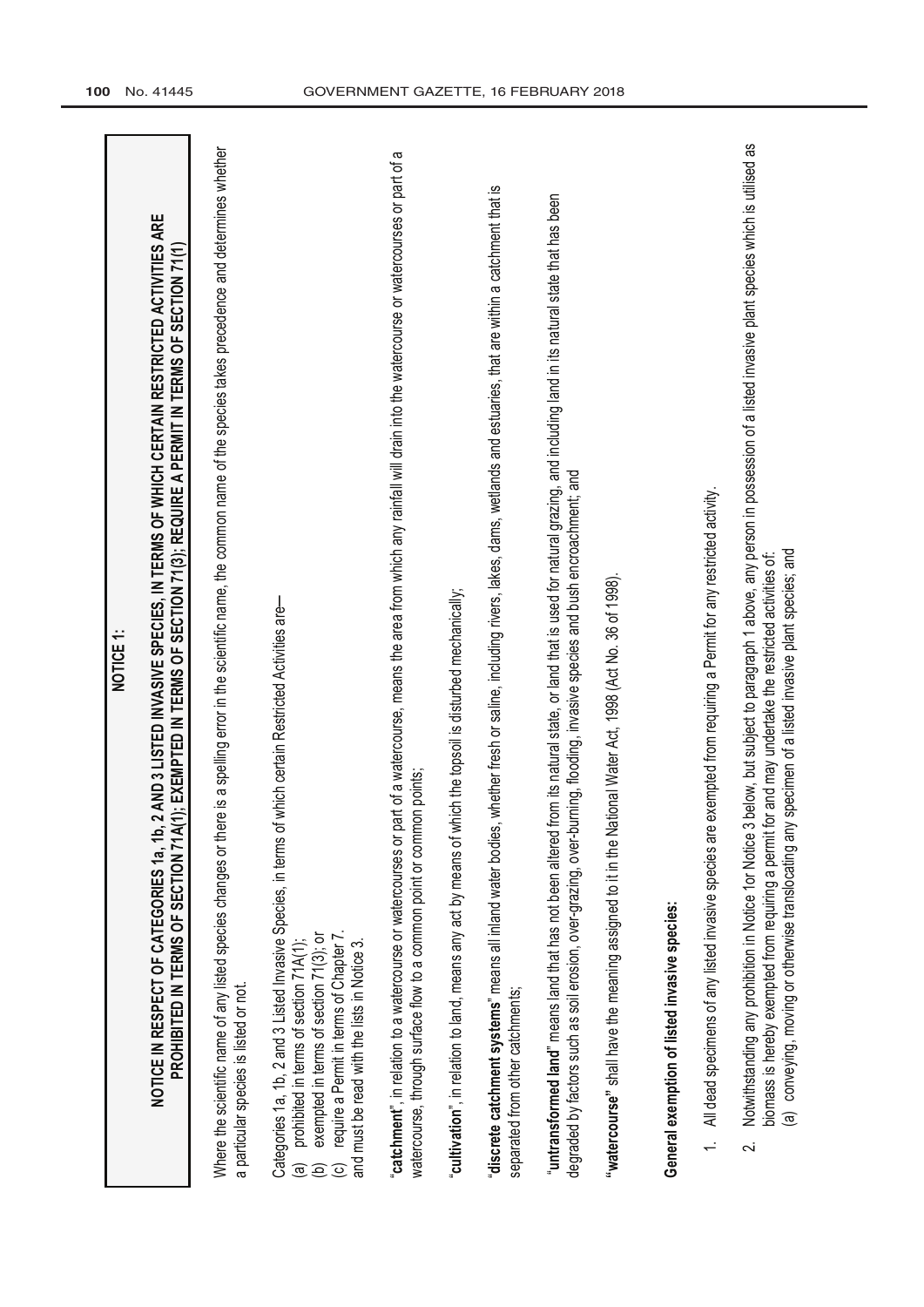| NOTICE <sub>1</sub>                                                                                                                                                                                                                                                                                                                                                                                                                                        |
|------------------------------------------------------------------------------------------------------------------------------------------------------------------------------------------------------------------------------------------------------------------------------------------------------------------------------------------------------------------------------------------------------------------------------------------------------------|
| NOTICE IN RESPECT OF CATEGORIES 1a, 1b, 2 AND 3 LISTED INVASIVE SPECIES, IN TERMS OF WHICH CERTAIN RESTRICTED ACTIVITIES ARE<br>PROHIBITED IN TERMS OF SECTION 71A(1); EXEMPTED IN TERMS OF SECTION 71(3); REQUIRE A PERMIT IN TERMS OF SECTION 71(1)                                                                                                                                                                                                      |
| Where the scientific name of any listed species changes or there is a spelling error in the scientific name, the common name of the species takes precedence and determines whether<br>a particular species is listed or not                                                                                                                                                                                                                               |
| of which certain Restricted Activities are-<br>Categories 1a, 1b, 2 and 3 Listed Invasive Species, in terms<br>exempted in terms of section 71(3); or<br>require a Permit in terms of Chapter 7<br>prohibited in terms of section 71A(1);<br>and must be read with the lists in Notice 3.<br>$\widehat{\mathbf{e}}$<br>$\overline{\circ}$                                                                                                                  |
| part of a watercourse, means the area from which any rainfall will drain into the watercourse or watercourses or part of a<br>watercourse, through surface flow to a common point or common points;<br>"catchment", in relation to a watercourse or watercourses or                                                                                                                                                                                        |
| which the topsoil is disturbed mechanically;<br>"cultivation", in relation to land, means any act by means of                                                                                                                                                                                                                                                                                                                                              |
| "discrete catchment systems" means all inland water bodies, whether fresh or saline, including rivers, lakes, dams, wetlands and estuaries, that are within a catchment that is<br>separated from other catchments;                                                                                                                                                                                                                                        |
| from its natural state, or land that is used for natural grazing, and including land in its natural state that has been<br>degraded by factors such as soil erosion, over-grazing, over-burning, flooding, invasive species and bush encroachment; and<br>"untransformed land" means land that has not been altered                                                                                                                                        |
| "watercourse" shall have the meaning assigned to it in the National Water Act, 1998 (Act No. 36 of 1998).                                                                                                                                                                                                                                                                                                                                                  |
| General exemption of listed invasive species:                                                                                                                                                                                                                                                                                                                                                                                                              |
| All dead specimens of any listed invasive species are exempted from requiring a Permit for any restricted activity.                                                                                                                                                                                                                                                                                                                                        |
| 3 below, but subject to paragraph 1 above, any person in possession of a listed invasive plant species which is utilised as<br>conveying, moving or otherwise translocating any specimen of a listed invasive plant species; and<br>for and may undertake the restricted activities of:<br>Notwithstanding any prohibition in Notice 1or Notice<br>biomass is hereby exempted from requiring a permit<br>$\widehat{\mathbf{e}}$<br>$\overline{\mathbf{v}}$ |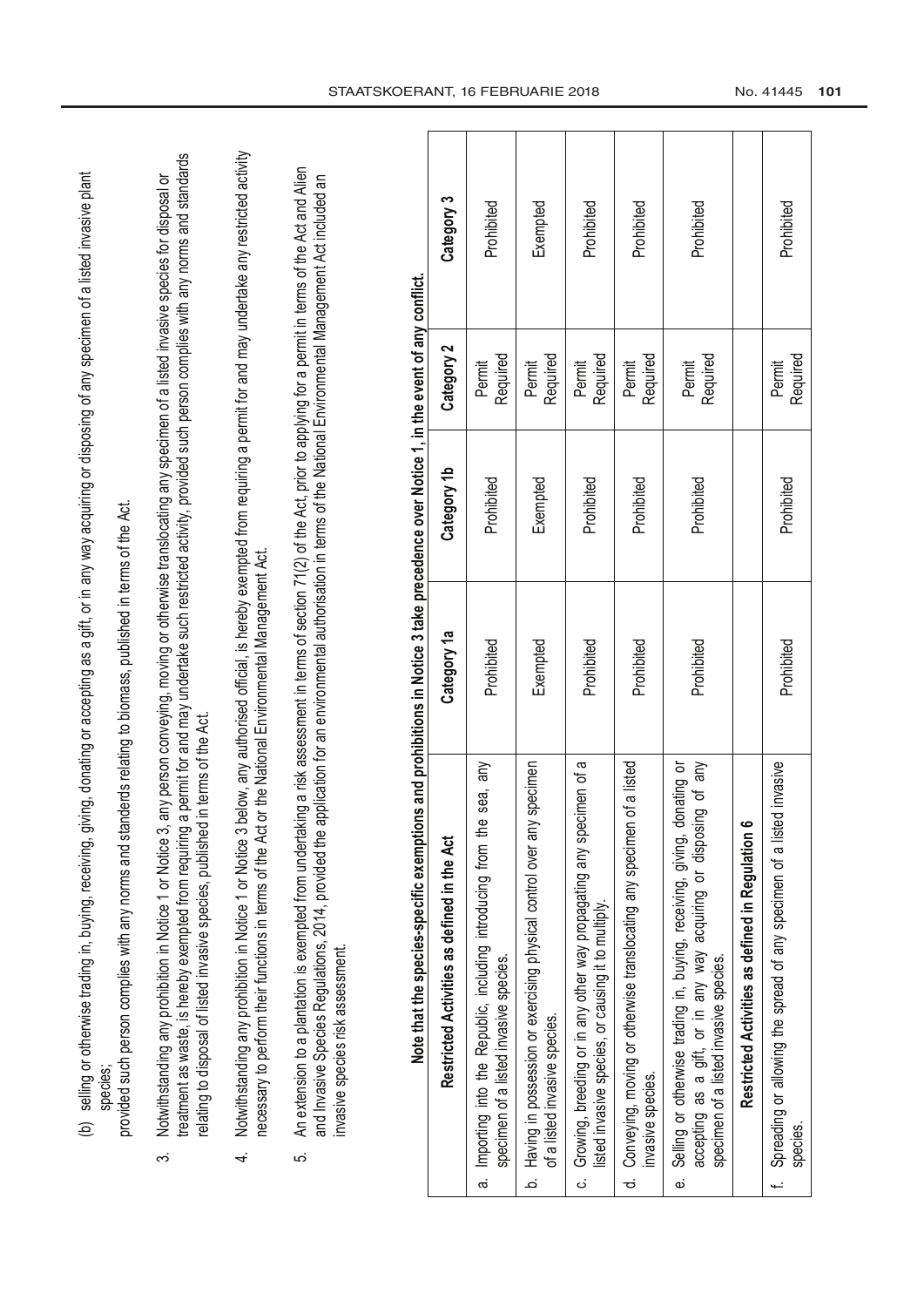| countries or dispositor of any spaciman of a listed invasive plant |             |                               |
|--------------------------------------------------------------------|-------------|-------------------------------|
| $\frac{1}{2}$                                                      |             |                               |
|                                                                    |             |                               |
| $\vdots$                                                           |             |                               |
| יליי ניין                                                          |             |                               |
| www.web.u.u.u.html his selectional or in annumence.                |             | איי האיירי ה                  |
| ה<br>ג<br>ג                                                        |             | האה ההיה והואווהאה            |
| )<br>)<br>)<br>)<br>)                                              |             | $\frac{2}{3}$<br>)<br>D.S.I.S |
|                                                                    |             |                               |
| d duna dun<br>$\vdots$<br>7<br>∂<br>∶                              |             | אמה#הוא<br>ś                  |
|                                                                    |             | $\mathbf$                     |
|                                                                    |             |                               |
|                                                                    |             | ֦֧֞֘֝ <u>֛</u>                |
| ^ ^^'  ^                                                           | )<br>)<br>) | ֠֠<br>てこて ててこ                 |
| ۷                                                                  |             |                               |

- π
- treatment as waste, is hereby exempted from requiring a permit for and may undertake such restricted activity, provided such person complies with any norms and standards treatment as waste, is hereby exempted from requiring a permit for and may undertake such restricted activity, provided such person complies with any norms and standards Notwithstanding any prohibition in Notice 1 or Notice 3, any person conveying, moving or otherwise translocating any specimen of a listed invasive species for disposal or 3. Notwithstanding any prohibition in Notice 1 or Notice 3, any person conveying, moving or otherwise translocating any specimen of a listed invasive species for disposal or relating to disposal of listed invasive species, published in terms of the Act. relating to disposal of listed invasive species, published in terms of the Act. က
- 4. Notwithstanding any prohibition in Notice 1 or Notice 3 below, any authorised official, is hereby exempted from requiring a permit for and may undertake any restricted activity Notwithstanding any prohibition in Notice 1 or Notice 3 below, any authorised official, is hereby exempted from requiring a permit for and may undertake any restricted activity necessary to perform their functions in terms of the Act or the [National Environmental](http://www.greengazette.co.za/acts/national-environmental-management-act_1998-107) Management Act. necessary to perform their functions in terms of the Act or the National Environmental Management Act.  $\overline{4}$
- 5. An extension to a plantation is exempted from undertaking a risk assessment in terms of section 71(2) of the Act, prior to applying for a permit in terms of the Act and Alien An extension to a plantation is exempted from undertaking a risk assessment in terms of section 71(2) of the Act, prior to applying for a permit in terms of the Act and Alien and Invasive Species Regulations, 2014, provided the application for an environmental authorisation in terms of the National Environmental Management Act included an and Invasive Species Regulations, 2014, provided the application for an environmental authorisation in terms of the [National Environmental Management Act](http://www.greengazette.co.za/acts/national-environmental-management-act_1998-107) included an invasive species risk assessment. invasive species risk assessment. ίΩ.

| Category 3                                  | Prohibited                                                                                                           | Exempted                                                                                                    | Prohibited                                                                                                                    | Prohibited                                                                                       | Prohibited                                                                                                                                                                               |                                                  | Prohibited                                                                        |
|---------------------------------------------|----------------------------------------------------------------------------------------------------------------------|-------------------------------------------------------------------------------------------------------------|-------------------------------------------------------------------------------------------------------------------------------|--------------------------------------------------------------------------------------------------|------------------------------------------------------------------------------------------------------------------------------------------------------------------------------------------|--------------------------------------------------|-----------------------------------------------------------------------------------|
| Category 2                                  | Required<br>Permit                                                                                                   | Required<br>Permit                                                                                          | Required<br>Permit                                                                                                            | Required<br>Permit                                                                               | Required<br>Permit                                                                                                                                                                       |                                                  | Required<br>Permit                                                                |
| Category 1b                                 | Prohibited                                                                                                           | Exempted                                                                                                    | Prohibited                                                                                                                    | Prohibited                                                                                       | Prohibited                                                                                                                                                                               |                                                  | Prohibited                                                                        |
| Category 1a                                 | Prohibited                                                                                                           | Exempted                                                                                                    | Prohibited                                                                                                                    | Prohibited                                                                                       | Prohibited                                                                                                                                                                               |                                                  | Prohibited                                                                        |
| Restricted Activities as defined in the Act | sea, any<br>a. Importing into the Republic, including introducing from the<br>specimen of a listed invasive species. | specimen<br>b. Having in possession or exercising physical control over any<br>of a listed invasive species | c. Growing, breeding or in any other way propagating any specimen of a<br>listed invasive species, or causing it to multiply. | of a listed<br>d. Conveying, moving or otherwise translocating any specimen<br>invasive species. | e. Selling or otherwise trading in, buying, receiving, giving, donating or<br>accepting as a gift, or in any way acquiring or disposing of any<br>specimen of a listed invasive species. | Restricted Activities as defined in Regulation 6 | Spreading or allowing the spread of any specimen of a listed invasive<br>species. |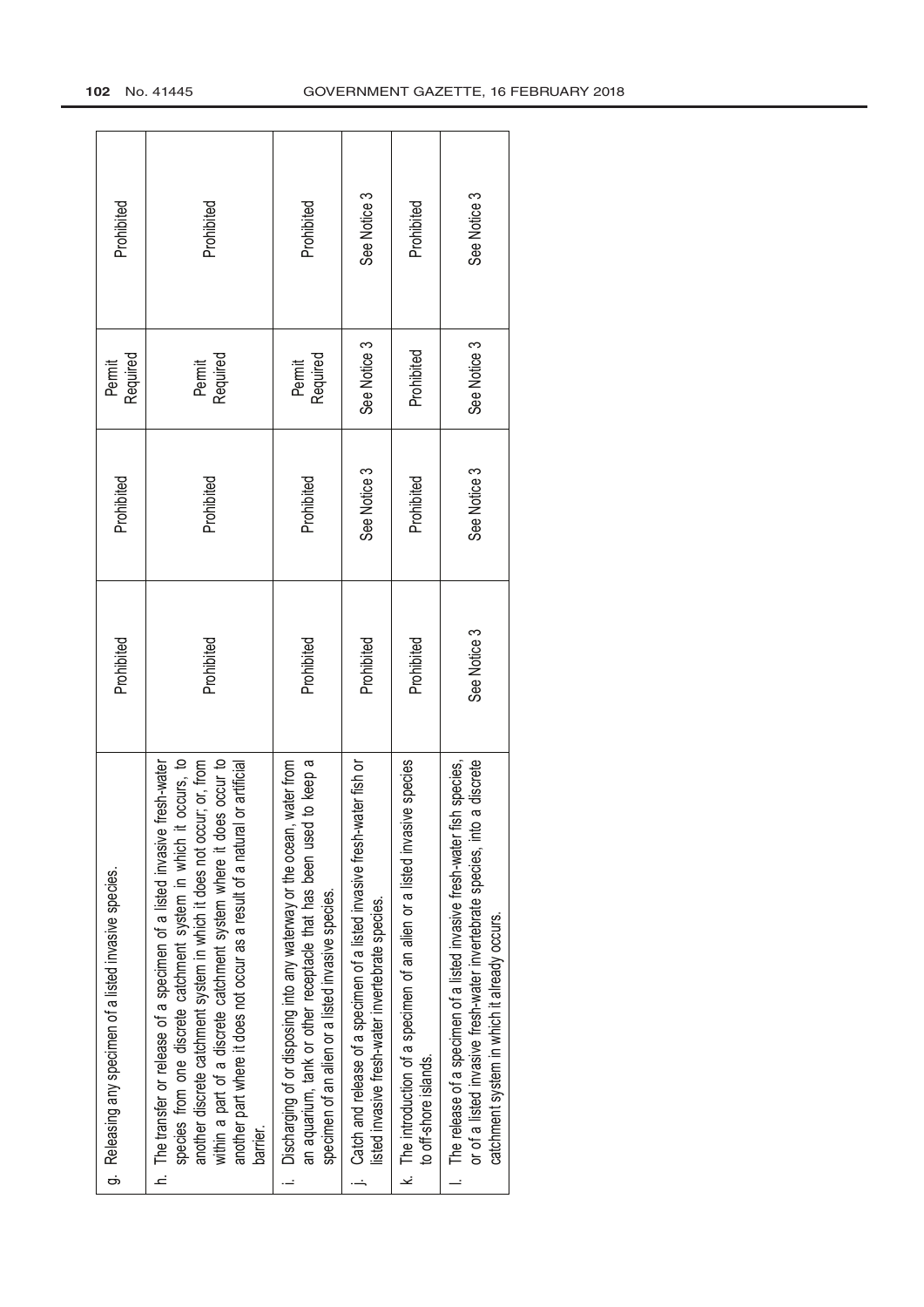| g. Releasing any specimen of a listed invasive species.                                                                                                                                                                                                                                                                                                                                               | Prohibited   | Prohibited   | Required<br>Permit | Prohibited   |
|-------------------------------------------------------------------------------------------------------------------------------------------------------------------------------------------------------------------------------------------------------------------------------------------------------------------------------------------------------------------------------------------------------|--------------|--------------|--------------------|--------------|
| occurs, to<br>another discrete catchment system in which it does not occur; or, from<br>occur to<br>h. The transfer or release of a specimen of a listed invasive fresh-water<br>r artificial<br>species from one discrete catchment system in which it o<br>within a part of a discrete catchment system where it does<br>another part where it does not occur as a result of a natural o<br>barrier | Prohibited   | Prohibited   | Required<br>Permit | Prohibited   |
| to keep a<br>Discharging of or disposing into any waterway or the ocean, water from<br>an aquarium, tank or other receptacle that has been used<br>specimen of an alien or a listed invasive species.                                                                                                                                                                                                 | Prohibited   | Prohibited   | Required<br>Permit | Prohibited   |
| ter fish or<br>Catch and release of a specimen of a listed invasive fresh-wat<br>listed invasive fresh-water invertebrate species.                                                                                                                                                                                                                                                                    | Prohibited   | See Notice 3 | See Notice 3       | See Notice 3 |
| k. The introduction of a specimen of an alien or a listed invasive species<br>to off-shore islands                                                                                                                                                                                                                                                                                                    | Prohibited   | Prohibited   | Prohibited         | Prohibited   |
| discrete<br>species,<br>The release of a specimen of a listed invasive fresh-water fish<br>or of a listed invasive fresh-water invertebrate species, into a<br>catchment system in which it already occurs.                                                                                                                                                                                           | See Notice 3 | See Notice 3 | See Notice 3       | See Notice 3 |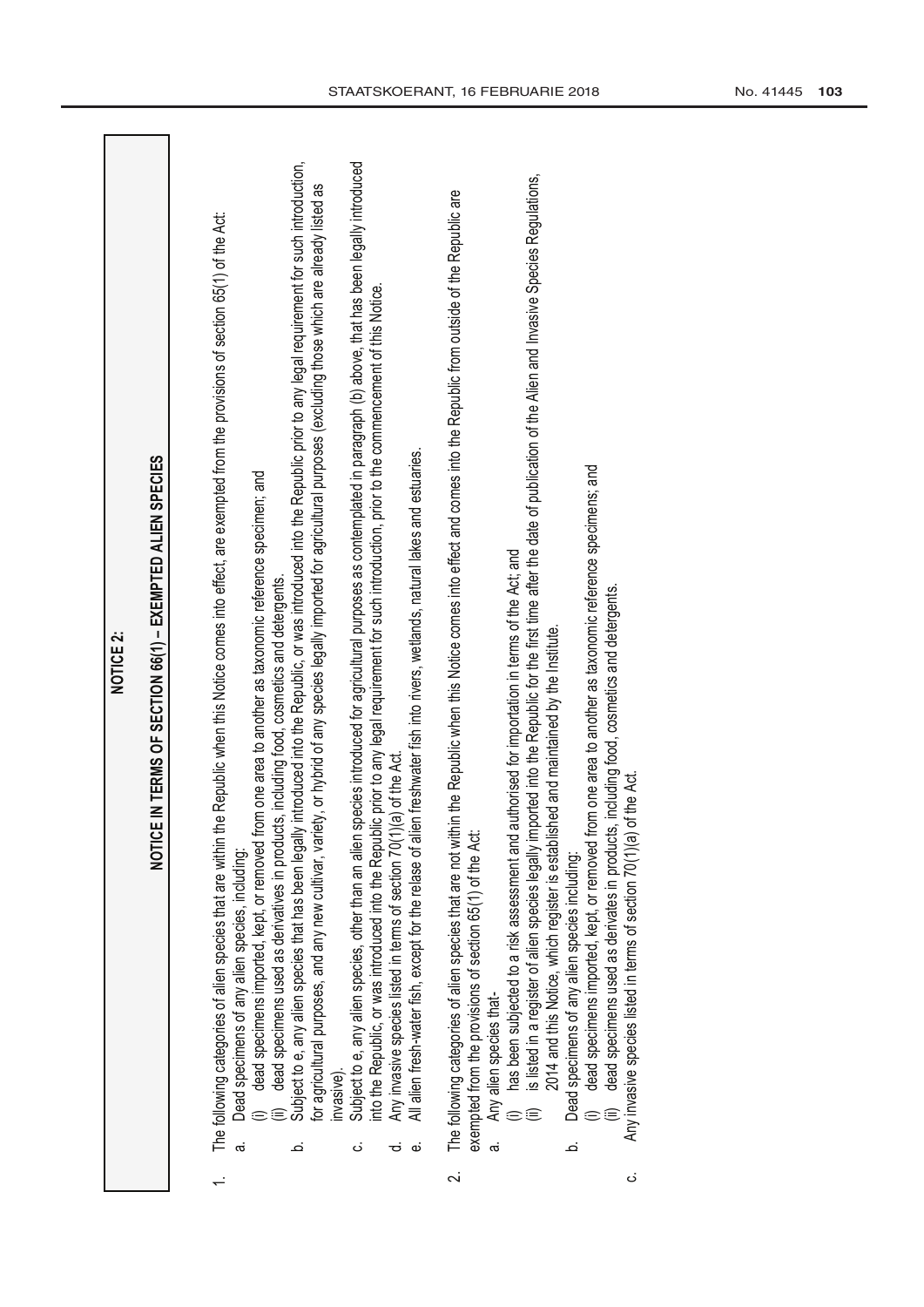| IN TERMS OF SECTION 66(1) - EXEMPTED ALIEN SPECIES<br><b>NOTICE 2:</b><br><b>NOTICE</b> | introduced into the Republic, or was introduced into the Republic prior to any legal requirement for such introduction,<br>Subject to e, any alien species, other than an alien species introduced for agricultural purposes as contemplated in paragraph (t)) above, that has been legally introduced<br>or agricultural purposes, and any new cultivar, variety, or hybrid of any species legally imported for agricultural purposes (excluding those which are already listed as<br>The following categories of alien species that are within the Republic when this Notice comes into effect, are exempted from the provisions of section 65(1) of the Act:<br>nto the Republic, or was introduced into the Republic prior to any legal requirement for such introduction, prior to the commencement of this Notice.<br>All alien fresh-water fish, except for the relase of alien freshwater fish into rivers, wetlands, natural lakes and estuaries.<br>dead specimens imported, kept, or removed from one area to another as taxonomic reference specimen; and<br>dead specimens used as derivatives in products, including food, cosmetics and detergents.<br>Any invasive species listed in terms of section 70(1)(a) of the Act.<br>Subject to e, any alien species that has been legally<br>Dead specimens of any alien species, including:<br>nvasive).<br>ά,<br>ن<br>ಕ<br>خ<br>نه | is listed in a register of alien species legally imported into the Republic for the first time after the date of publication of the Alien and Invasive Species Regulations,<br>The following categories of alien species that are not within the Republic when this Notice comes into effect and comes into the Republic from outside of the Republic are<br>dead specimens imported, kept, or removed from one area to another as taxonomic reference specimens; and<br>has been subjected to a risk assessment and authorised for importation in terms of the Act; and<br>dead specimens used as derivates in products, including food, cosmetics and detergents.<br>ed and maintained by the Institute.<br>Any invasive species listed in terms of section 70(1)(a) of the Act.<br>2014 and this Notice, which register is establish<br>exempted from the provisions of section 65(1) of the Act:<br>Dead specimens of any alien species including:<br>Any alien species that-<br>نم<br>$\overline{\mathcal{C}}$<br>ن |
|-----------------------------------------------------------------------------------------|------------------------------------------------------------------------------------------------------------------------------------------------------------------------------------------------------------------------------------------------------------------------------------------------------------------------------------------------------------------------------------------------------------------------------------------------------------------------------------------------------------------------------------------------------------------------------------------------------------------------------------------------------------------------------------------------------------------------------------------------------------------------------------------------------------------------------------------------------------------------------------------------------------------------------------------------------------------------------------------------------------------------------------------------------------------------------------------------------------------------------------------------------------------------------------------------------------------------------------------------------------------------------------------------------------------------------------------------------------------------------------------------|--------------------------------------------------------------------------------------------------------------------------------------------------------------------------------------------------------------------------------------------------------------------------------------------------------------------------------------------------------------------------------------------------------------------------------------------------------------------------------------------------------------------------------------------------------------------------------------------------------------------------------------------------------------------------------------------------------------------------------------------------------------------------------------------------------------------------------------------------------------------------------------------------------------------------------------------------------------------------------------------------------------------------|
|-----------------------------------------------------------------------------------------|------------------------------------------------------------------------------------------------------------------------------------------------------------------------------------------------------------------------------------------------------------------------------------------------------------------------------------------------------------------------------------------------------------------------------------------------------------------------------------------------------------------------------------------------------------------------------------------------------------------------------------------------------------------------------------------------------------------------------------------------------------------------------------------------------------------------------------------------------------------------------------------------------------------------------------------------------------------------------------------------------------------------------------------------------------------------------------------------------------------------------------------------------------------------------------------------------------------------------------------------------------------------------------------------------------------------------------------------------------------------------------------------|--------------------------------------------------------------------------------------------------------------------------------------------------------------------------------------------------------------------------------------------------------------------------------------------------------------------------------------------------------------------------------------------------------------------------------------------------------------------------------------------------------------------------------------------------------------------------------------------------------------------------------------------------------------------------------------------------------------------------------------------------------------------------------------------------------------------------------------------------------------------------------------------------------------------------------------------------------------------------------------------------------------------------|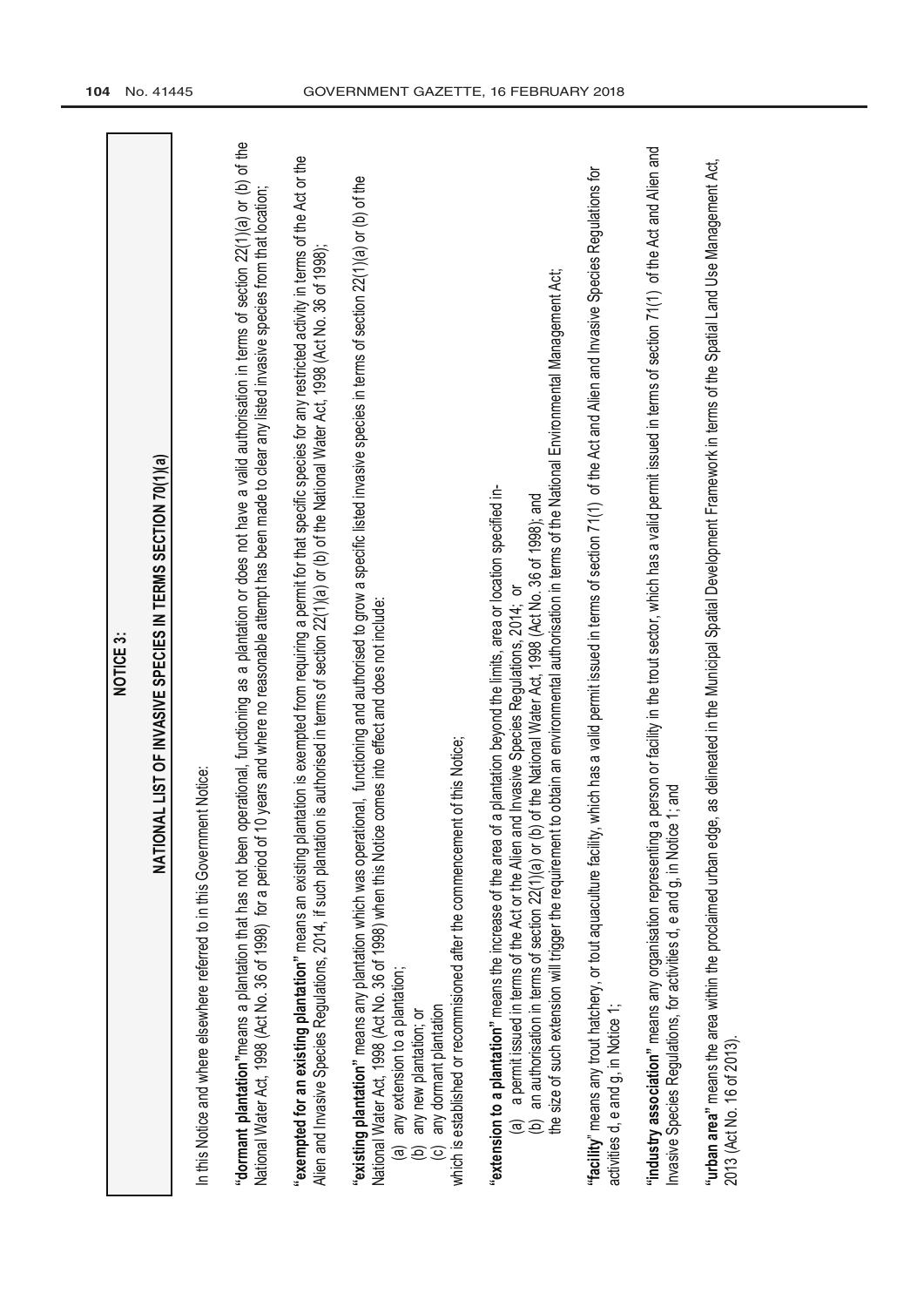| <b>NOTICE 3:</b>                                                                                                                                                                                                                                                                                                                                                                                                                                                                                                                         |
|------------------------------------------------------------------------------------------------------------------------------------------------------------------------------------------------------------------------------------------------------------------------------------------------------------------------------------------------------------------------------------------------------------------------------------------------------------------------------------------------------------------------------------------|
| AL LIST OF INVASIVE SPECIES IN TERMS SECTION 70(1)(a)<br><b>NATION/</b>                                                                                                                                                                                                                                                                                                                                                                                                                                                                  |
| In this Notice and where elsewhere referred to in this Government Notice:                                                                                                                                                                                                                                                                                                                                                                                                                                                                |
| "dormant plantation" means a plantation that has not been operational, functioning as a plantation or does not have a valid authorisation in terms of section 22(1)(a) or (b) of the<br>National Water Act, 1998 (Act No. 36 of 1998) for a period of 10 years and where no reasonable attempt has been made to clear any listed invasive species from that location;                                                                                                                                                                    |
| "exempted for an existing plantation" means an existing plantation is exempted from requiring a permit for that specific species for any restricted activity in terms of the Act or the<br>Alien and Invasive Species Regulations, 2014, if such plantation is authorised in terms of section 22(1)(a) or (b) of the National Water Act, 1998 (Act No. 36 of 1998);                                                                                                                                                                      |
| "existing plantation" means any plantation which was operational, functioning and authorised to grow a specific listed invasive species in terms of section 22(1)(a) or (b) of the<br>National Water Act, 1998 (Act No. 36 of 1998) when this Notice comes into effect and does not include:<br>which is established or recommisioned after the commencement of this Notice;<br>any extension to a plantation;<br>any dormant plantation<br>any new plantation; or<br>$\widehat{\mathbf{e}}$<br>$\widehat{\mathbf{e}}$<br>$\overline{6}$ |
| to obtain an environmental authorisation in terms of the National Environmental Management Act;<br>a plantation beyond the limits, area or location specified in-<br>(b) an authorisation in terms of section 22(1)(a) or (b) of the National Water Act, 1998 (Act No. 36 of 1998); and<br>a permit issued in terms of the Act or the Alien and Invasive Species Regulations, 2014; or<br>"extension to a plantation" means the increase of the area of<br>the size of such extension will trigger the requirement<br><u>ල</u>           |
| which has a valid permit issued in terms of section 71(1) of the Act and Alien and Invasive Species Regulations for<br>"facility" means any trout hatchery, or tout aquaculture facility,<br>activities d, e and g, in Notice 1;                                                                                                                                                                                                                                                                                                         |
| "industry association" means any organisation representing a person or facility in the trout sector, which has a valid permit issued in terms of section 71(1) of the Act and Alien and<br>$1$ ; and<br>Invasive Species Regulations, for activities d, e and g, in Notice                                                                                                                                                                                                                                                               |
| "urban area" means the area within the proclaimed urban edge, as delineated in the Municipal Spatial Development Framework in terms of the Spatial Land Use Management Act,<br>2013 (Act No. 16 of 2013)                                                                                                                                                                                                                                                                                                                                 |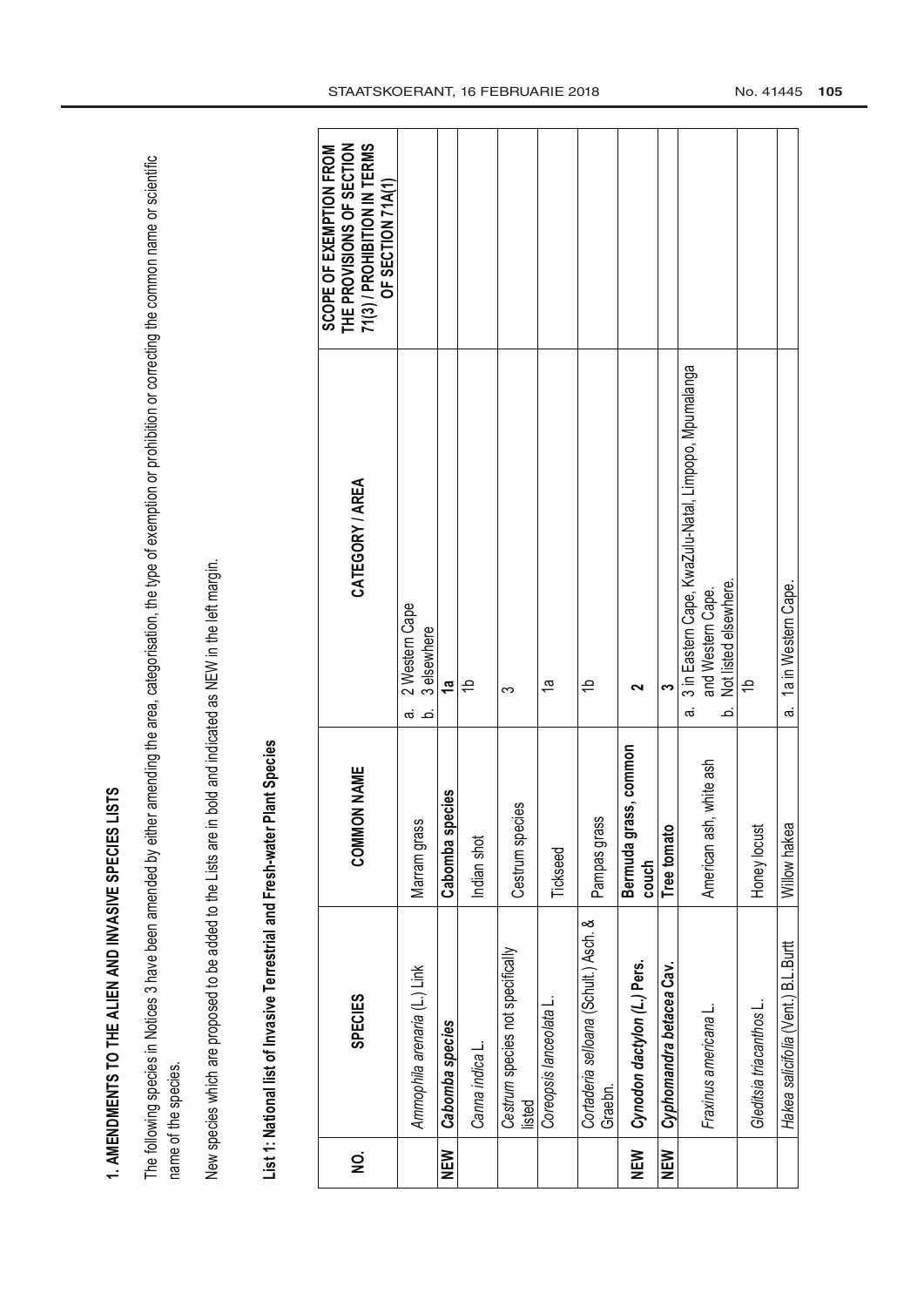1. AMENDMENTS TO THE ALIEN AND INVASIVE SPECIES LISTS **1. AMENDMENTS TO THE ALIEN AND INVASIVE SPECIES LISTS**

The following species in Notices 3 have been amended by either amending the area, categorisation, the type of exemption or prohibition or correcting the common name or scientific The following species in Notices 3 have been amended by either amending the area, categorisation, the type of exemption or prohibition or correcting the common name or scientific name of the species. name of the species.

New species which are proposed to be added to the Lists are in bold and indicated as NEW in the left margin. New species which are proposed to be added to the Lists are in bold and indicated as NEW in the left margin.

List 1: National list of Invasive Terrestrial and Fresh-water Plant Species **List 1: National list of Invasive Terrestrial and Fresh-water Plant Species**

| g        | <b>SPECIES</b>                                   | N NAME<br><b>COMMOI</b>        | CATEGORY / AREA                                                                                                        | 71(3) / PROHIBITION IN TERMS<br>THE PROVISIONS OF SECTION<br>SCOPE OF EXEMPTION FROM<br>OF SECTION 71A(1) |
|----------|--------------------------------------------------|--------------------------------|------------------------------------------------------------------------------------------------------------------------|-----------------------------------------------------------------------------------------------------------|
|          | Ammophila arenaria (L.) Link                     | Marram grass                   | 2 Western Cape<br>3 elsewhere<br>.<br>ത<br>.<br>ف                                                                      |                                                                                                           |
| NEW      | Cabomba species                                  | cies<br>Cabomba spe            | $\frac{a}{b}$                                                                                                          |                                                                                                           |
|          | Canna indica L.                                  | Indian shot                    | ۽                                                                                                                      |                                                                                                           |
|          | Cestrum species not specifically<br>listed       | Cestrum species                | ო                                                                                                                      |                                                                                                           |
|          | Coreopsis lanceolata L                           | Tickseed                       | ρ,                                                                                                                     |                                                                                                           |
|          | Cortaderia selloana (Schult.) Asch. &<br>Graebn. | Pampas grass                   | 윽                                                                                                                      |                                                                                                           |
| NEN<br>N | Cynodon dactylon (L.) Pers.                      | Bermuda grass, common<br>couch | ິ                                                                                                                      |                                                                                                           |
| NEW      | Cyphomandra betacea Cav.                         | Tree tomato                    | က                                                                                                                      |                                                                                                           |
|          | Fraxinus americana L                             | white ash<br>American ash,     | 3 in Eastern Cape, KwaZulu-Natal, Limpopo, Mpumalanga<br>Not listed elsewhere<br>and Western Cape.<br>.<br>ف<br>.<br>ത |                                                                                                           |
|          | Gleditsia triacanthos L                          | Honey locust                   | $\rightleftharpoons$                                                                                                   |                                                                                                           |
|          | Hakea salicifolia (Vent.) B.L.Burtt              | Willow hakea                   | 1a in Western Cape<br>.<br>ത                                                                                           |                                                                                                           |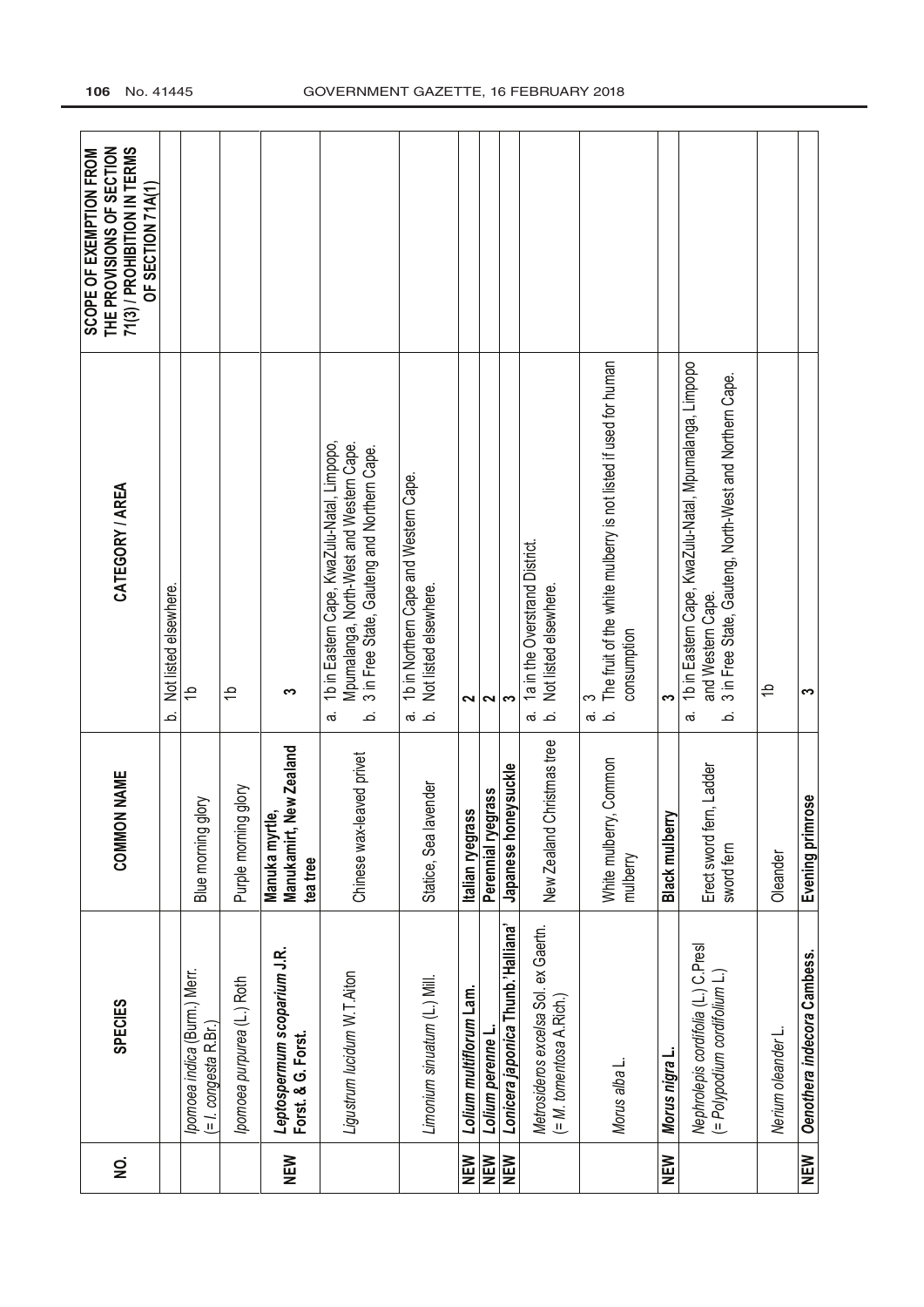| g          | <b>SPECIES</b>                                                       | <b>COMMON NAME</b>                                                  | CATEGORY / AREA                                                                                                                                        | THE PROVISIONS OF SECTION<br>71(3) / PROHIBITION IN TERMS<br><b>SCOPE OF EXEMPTION FROM</b><br>OF SECTION 71A(1) |
|------------|----------------------------------------------------------------------|---------------------------------------------------------------------|--------------------------------------------------------------------------------------------------------------------------------------------------------|------------------------------------------------------------------------------------------------------------------|
|            |                                                                      |                                                                     | Not listed elsewhere.<br>نم                                                                                                                            |                                                                                                                  |
|            | pomoea indica (Burm.) Merr.<br>$($ = $l.$ congesta R.Br.)            | Blue morning glory                                                  | $\Rightarrow$                                                                                                                                          |                                                                                                                  |
|            | Ipomoea purpurea (L.) Roth                                           | Purple morning glory                                                | 윽                                                                                                                                                      |                                                                                                                  |
| NEW        | Leptospermum scoparium J.R.<br>Forst. & G. Forst.                    | New Zealand<br><u>ه</u> َ<br>Manuka myrt<br>Manukamirt,<br>tea tree | က                                                                                                                                                      |                                                                                                                  |
|            | Ligustrum lucidum W.T. Aiton                                         | Chinese wax-leaved privet                                           | 1b in Eastern Cape, KwaZulu-Natal, Limpopo,<br>Mpumalanga, North-West and Western Cape.<br>3 in Free State, Gauteng and Northern Cape.<br>.<br>ത<br>نم |                                                                                                                  |
|            | Limonium sinuatum (L.) Mill.                                         | Statice, Sea lavender                                               | 1b in Northern Cape and Western Cape.<br>Not listed elsewhere.<br>் க                                                                                  |                                                                                                                  |
| NEW        | Lolium multiflorum Lam.                                              | Italian ryegrass                                                    | $\sim$                                                                                                                                                 |                                                                                                                  |
| <b>NEW</b> | Lolium perenne L.                                                    | Perennial ryegrass                                                  | 2                                                                                                                                                      |                                                                                                                  |
| <b>NEW</b> | Lonicera japonica Thunb.'Halliana'                                   | Japanese honeysuckle                                                | S                                                                                                                                                      |                                                                                                                  |
|            | Metrosideros excelsa Sol. ex Gaertn.<br>$($ = M. tomentosa A Rich.)  | New Zealand Christmas tree                                          | 1a in the Overstrand District<br>Not listed elsewhere.<br>க் க்                                                                                        |                                                                                                                  |
|            | Morus alba L.                                                        | White mulberry, Common<br>mulberry                                  | The fruit of the white mulberry is not listed if used for human<br>consumption<br>က<br>.<br>ത                                                          |                                                                                                                  |
| NEW        | Morus nigra L                                                        | <b>Black mulberry</b>                                               | က                                                                                                                                                      |                                                                                                                  |
|            | Nephrolepis cordifolia (L.) C.Presl<br>(= Polypodium cordifolium L.) | Erect sword fem, Ladder<br>sword fern                               | 1b in Eastern Cape, KwaZulu-Natal, Mpumalanga, Limpopo<br>3 in Free State, Gauteng, North-West and Northern Cape.<br>and Western Cape.<br>.<br>Ø<br>نم |                                                                                                                  |
|            | Nerium oleander L.                                                   | Oleander                                                            | ٩                                                                                                                                                      |                                                                                                                  |
| NEW        | Oenothera indecora Cambess.                                          | Evening primrose                                                    | က                                                                                                                                                      |                                                                                                                  |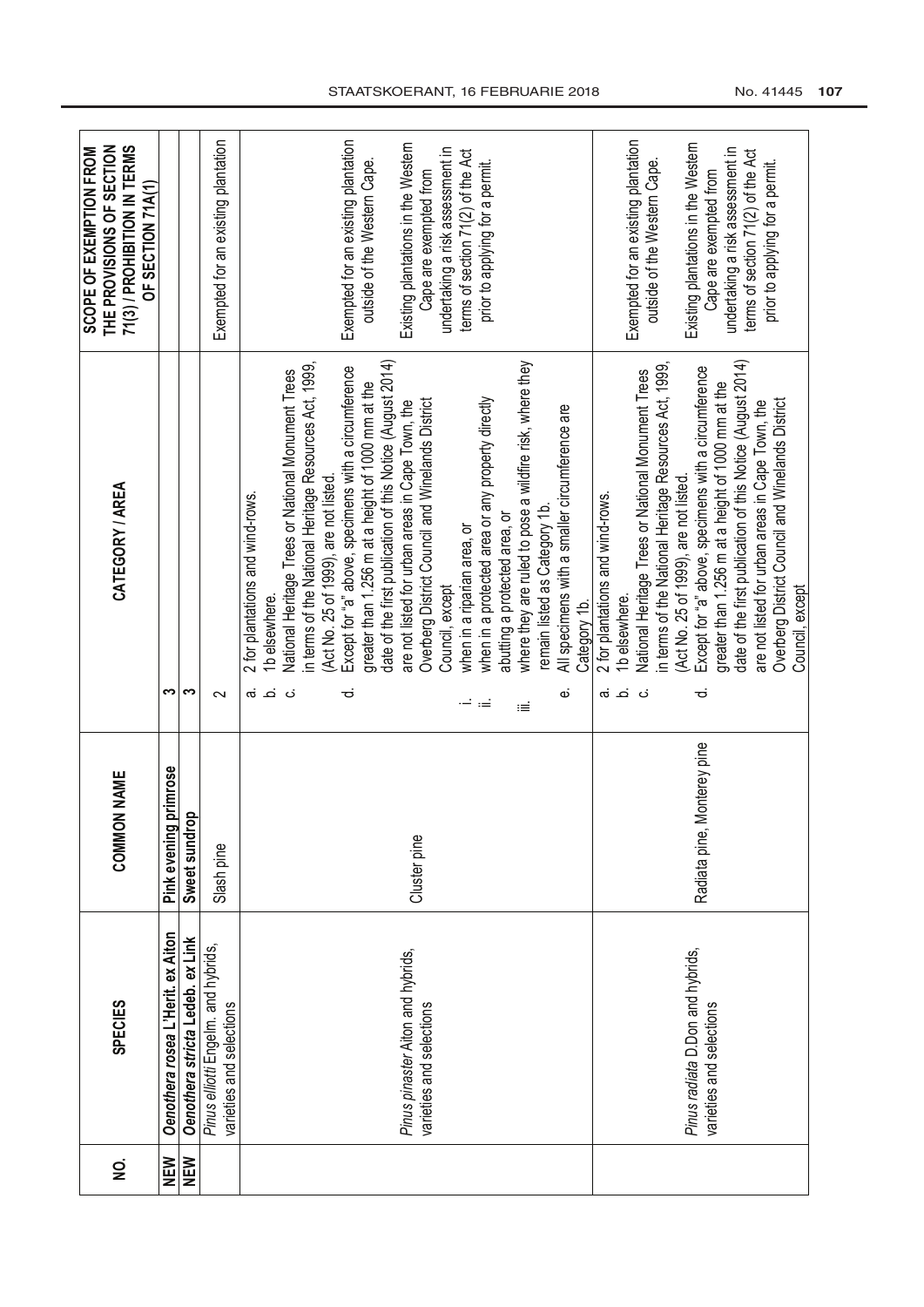| <b>SPECIES</b> | <b>COMMON NAME</b>             | CATEGORY / AREA                                                | THE PROVISIONS OF SECTION<br>71(3) / PROHIBITION IN TERMS<br>SCOPE OF EXEMPTION FROM<br>OF SECTION 71A(1) |
|----------------|--------------------------------|----------------------------------------------------------------|-----------------------------------------------------------------------------------------------------------|
|                | primrose<br>Pink evening       | ω                                                              |                                                                                                           |
|                | Sweet sundrop                  | က                                                              |                                                                                                           |
|                | Slash pine                     | $\sim$                                                         | Exempted for an existing plantation                                                                       |
|                |                                | 2 for plantations and wind-rows.<br>1b elsewhere.<br>ن نه      |                                                                                                           |
|                |                                | National Heritage Trees or National Monument Trees<br>ن        |                                                                                                           |
|                |                                | in terms of the National Heritage Resources Act, 1999,         |                                                                                                           |
|                |                                | (Act No. 25 of 1999), are not listed.                          |                                                                                                           |
|                |                                | Except for "a" above, specimens with a circumference<br>ಕ      | Exempted for an existing plantation                                                                       |
|                |                                | greater than 1.256 m at a height of 1000 mm at the             | outside of the Western Cape.                                                                              |
|                |                                | date of the first publication of this Notice (August 2014)     |                                                                                                           |
|                | Cluster pine                   | are not listed for urban areas in Cape Town, the               | Existing plantations in the Western                                                                       |
|                |                                | Overberg District Council and Winelands District               | Cape are exempted from                                                                                    |
|                |                                | Council, except                                                | undertaking a risk assessment in                                                                          |
|                |                                | when in a riparian area, or<br>i —                             | terms of section 71(2) of the Act                                                                         |
|                |                                | when in a protected area or any property directly<br>$:=$      | prior to applying for a permit.                                                                           |
|                |                                | abutting a protected area, or                                  |                                                                                                           |
|                |                                | where they are ruled to pose a wildfire risk, where they<br>iΞ |                                                                                                           |
|                |                                | remain listed as Category 1b.                                  |                                                                                                           |
|                |                                | All specimens with a smaller circumference are<br>نه           |                                                                                                           |
|                |                                | Category 1b.                                                   |                                                                                                           |
|                |                                | 2 for plantations and wind-rows.<br><u>் க்</u>                |                                                                                                           |
|                |                                | 1b elsewhere.                                                  | Exempted for an existing plantation                                                                       |
|                |                                | National Heritage Trees or National Monument Trees<br>نۍ       | outside of the Western Cape.                                                                              |
|                |                                | in terms of the National Heritage Resources Act, 1999,         |                                                                                                           |
|                |                                | (Act No. 25 of 1999), are not listed.                          | Existing plantations in the Western                                                                       |
|                | Monterey pine<br>Radiata pine, | Except for "a" above, specimens with a circumference<br>ಕ      | Cape are exempted from                                                                                    |
|                |                                | greater than 1.256 m at a height of 1000 mm at the             | undertaking a risk assessment in                                                                          |
|                |                                | date of the first publication of this Notice (August 2014)     | terms of section 71(2) of the Act                                                                         |
|                |                                | are not listed for urban areas in Cape Town, the               | prior to applying for a permit.                                                                           |
|                |                                | Overberg District Council and Winelands District               |                                                                                                           |
|                |                                | Council, except                                                |                                                                                                           |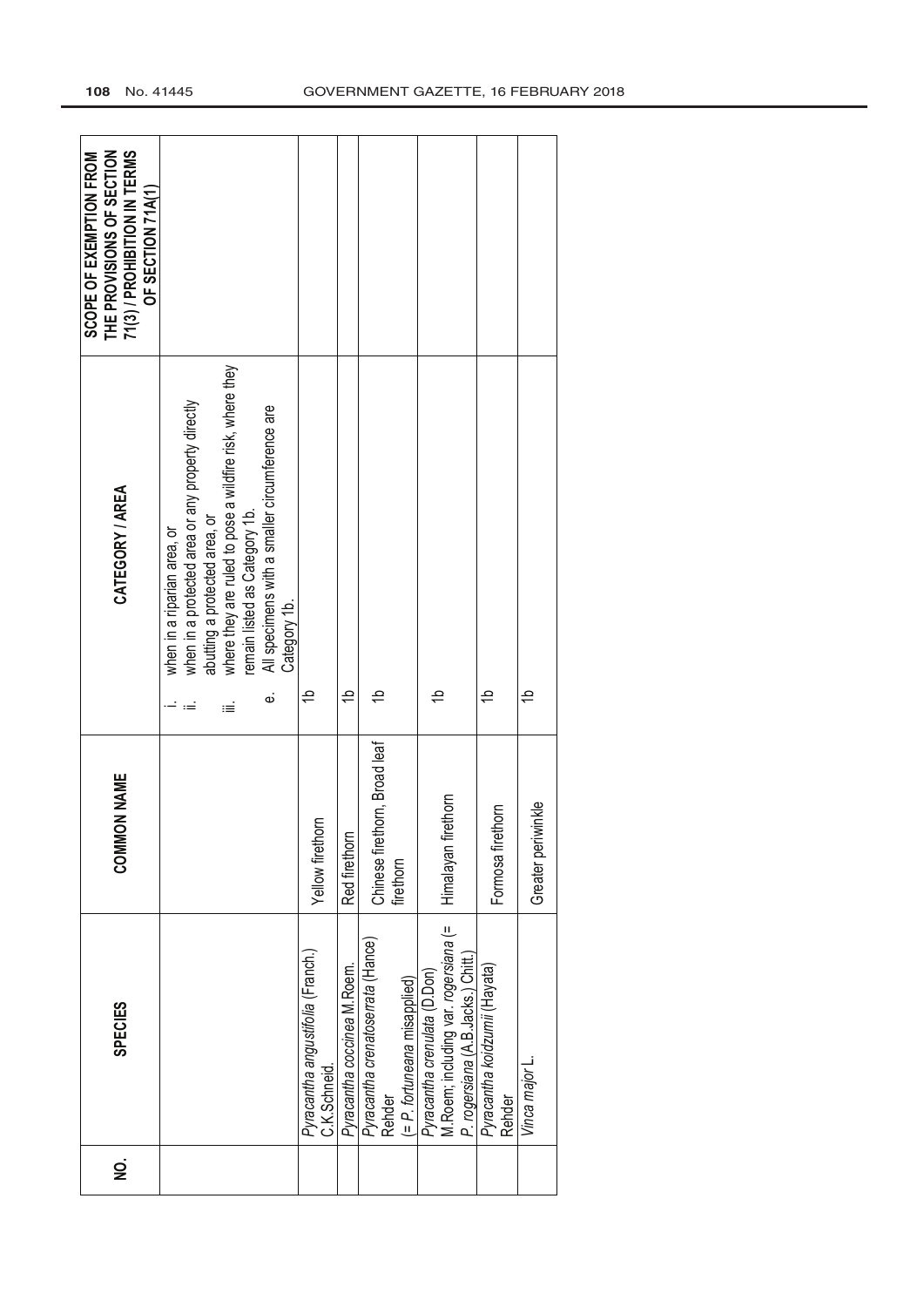| 71(3) / PROHIBITION IN TERMS<br>THE PROVISIONS OF SECTION<br>SCOPE OF EXEMPTION FROM<br>OF SECTION 71A(1) |                                                                                                                                                                                                                                                                                             |                                                  |                             |                                                                             |                                                                                                             |                                         |                    |
|-----------------------------------------------------------------------------------------------------------|---------------------------------------------------------------------------------------------------------------------------------------------------------------------------------------------------------------------------------------------------------------------------------------------|--------------------------------------------------|-----------------------------|-----------------------------------------------------------------------------|-------------------------------------------------------------------------------------------------------------|-----------------------------------------|--------------------|
| CATEGORY / AREA                                                                                           | where they are ruled to pose a wildfire risk, where they<br>when in a protected area or any property directly<br>All specimens with a smaller circumference are<br>remain listed as Category 1b.<br>abutting a protected area, or<br>when in a riparian area, or<br>Category 1b.<br>نه<br>≔ | 윽                                                | $\Rightarrow$               | ₽                                                                           | 윽                                                                                                           | ₽                                       | 윽                  |
| <b>COMMON NAME</b>                                                                                        |                                                                                                                                                                                                                                                                                             | Yellow firethorn                                 | Red firethorn               | Chinese firethorn, Broad leaf<br>firethorn                                  | Himalayan firethorn                                                                                         | Formosa firethorn                       | Greater periwinkle |
| <b>SPECIES</b>                                                                                            |                                                                                                                                                                                                                                                                                             | Pyracantha angustifolia (Franch.)<br>C.K.Schneid | Pyracantha coccinea M.Roem. | Pyracantha crenatoserrata (Hance)<br>(= P. fortuneana misapplied)<br>Rehder | M.Roem; including var. rogersiana (=<br>P. rogersiana (A.B. Jacks.) Chitt.)<br>Pyracantha crenulata (D.Don) | Pyracantha koidzumii (Hayata)<br>Rehder | Vinca major L      |
| g                                                                                                         |                                                                                                                                                                                                                                                                                             |                                                  |                             |                                                                             |                                                                                                             |                                         |                    |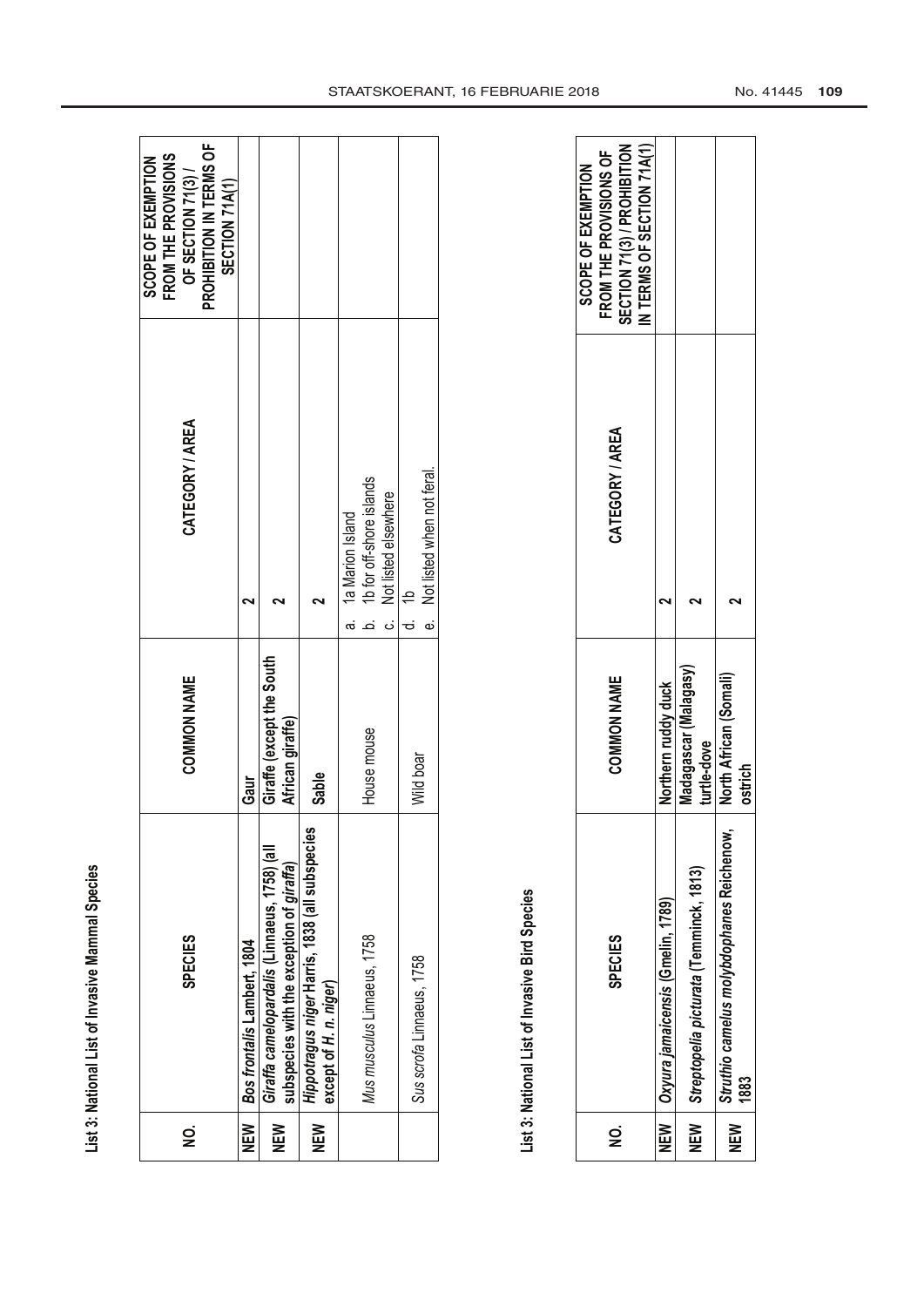List 3: National List of Invasive Mammal Species **List 3: National List of Invasive Mammal Species**

| g   | <b>SPECIES</b>                                                                            | <b>COMMON NAME</b>                            | CATEGORY / AREA                                                                          | PROHIBITION IN TERMS OF<br>FROM THE PROVISIONS<br>SCOPE OF EXEMPTION<br>OF SECTION 71(3)/<br>SECTION 71A(1) |
|-----|-------------------------------------------------------------------------------------------|-----------------------------------------------|------------------------------------------------------------------------------------------|-------------------------------------------------------------------------------------------------------------|
|     | NEW   Bos frontalis Lambert, 1804                                                         | Gaur                                          |                                                                                          |                                                                                                             |
| NEW | Giraffa camelopardalis (Linnaeus, 1758) (all<br>subspecies with the exception of giraffa) | Giraffe (except the South<br>African giraffe) |                                                                                          |                                                                                                             |
| NEW | Hippotragus niger Harris, 1838 (all subspecies<br>except of H. n. niger)                  | Sable                                         |                                                                                          |                                                                                                             |
|     | Mus musculus Linnaeus, 1758                                                               | House mouse                                   | 1b for off-shore islands<br>Not listed elsewhere<br>1a Marion Island<br>.<br>დ<br>.<br>ت |                                                                                                             |
|     | Sus scrofa Linnaeus, 1758                                                                 | Wild boar                                     | e Not listed when not feral<br>$\Rightarrow$                                             |                                                                                                             |
|     |                                                                                           |                                               |                                                                                          |                                                                                                             |

List 3: National List of Invasive Bird Species **List 3: National List of Invasive Bird Species**

| g   | <b>SPECIES</b>                                    | COMMON NAME                          | CATEGORY / AREA | SECTION 71(3) / PROHIBITION<br>IN TERMS OF SECTION 71A(1)<br>FROM THE PROVISIONS OF<br>SCOPE OF EXEMPTION |
|-----|---------------------------------------------------|--------------------------------------|-----------------|-----------------------------------------------------------------------------------------------------------|
|     | NEW   Oxyura jamaicensis (Gmelin, 1789)           | Northern ruddy duck                  |                 |                                                                                                           |
|     | NEW   Streptopelia picturata (Temminck, 1813)     | Madagascar (Malagasy)<br>turtle-dove |                 |                                                                                                           |
| NEW | Struthio camelus molybdophanes Reichenow,<br>1883 | North African (Somali)<br>ostrich    |                 |                                                                                                           |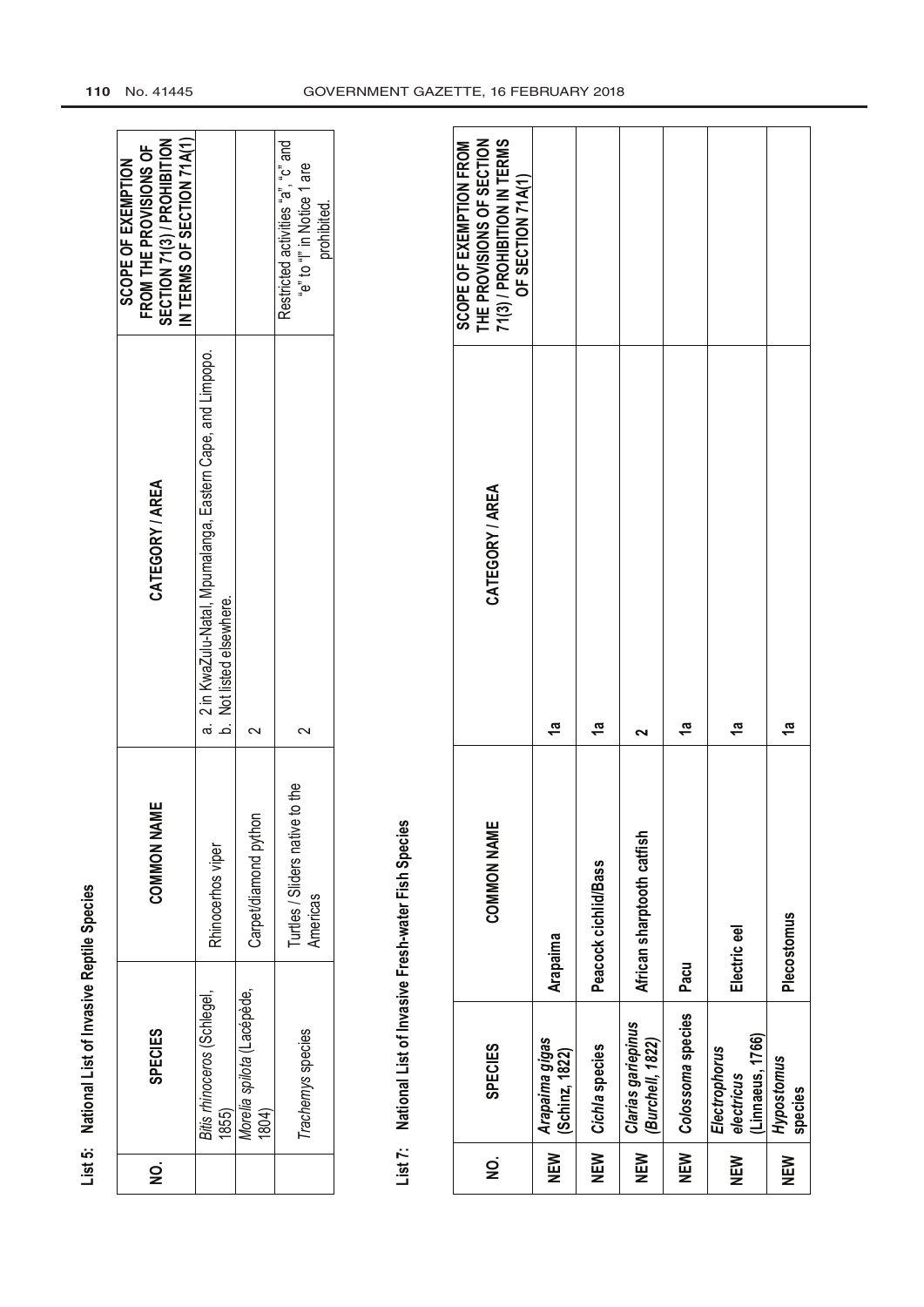| l            |
|--------------|
|              |
| ı            |
|              |
|              |
|              |
|              |
| ı            |
|              |
|              |
|              |
|              |
| j            |
| $\vdots$     |
|              |
|              |
|              |
|              |
|              |
|              |
|              |
| ن<br>من<br>t |
| Ĩ            |
|              |
|              |

|   | List 5: National List of Invasive Reptile Species |                                                |                                                                                           |                                                                                                           |
|---|---------------------------------------------------|------------------------------------------------|-------------------------------------------------------------------------------------------|-----------------------------------------------------------------------------------------------------------|
| g | <b>SPECIES</b>                                    | <b>COMMON NAME</b>                             | CATEGORY / AREA                                                                           | IN TERMS OF SECTION 71A(1)<br>SECTION 71(3) / PROHIBITION<br>FROM THE PROVISIONS OF<br>SCOPE OF EXEMPTION |
|   | Bitis rhinoceros (Schlegel<br>1855)               | Rhinocerhos viper                              | a. 2 in KwaZulu-Natal, Mpumalanga, Eastern Cape, and Limpopo.<br>b. Not listed elsewhere. |                                                                                                           |
|   | Morelia spilota (Lacépède,<br>1804)               | Carpet/diamond python                          |                                                                                           |                                                                                                           |
|   | Trachemys species                                 | to the<br>Turtles / Sliders native<br>Americas |                                                                                           | Restricted activities "a", "c" and<br>"e" to "I" in Notice 1 are<br>prohibited.                           |
|   |                                                   |                                                |                                                                                           |                                                                                                           |

## List 7: National List of Invasive Fresh-water Fish Species **List 7: National List of Invasive Fresh-water Fish Species**

| 71(3) / PROHIBITION IN TERMS<br>SCOPE OF EXEMPTION FROM<br>THE PROVISIONS OF SECTION<br>OF SECTION 71A(1)<br>CATEGORY / AREA<br><b>COMMON NAME</b> | <u>ლ</u><br>Arapaima             | <u>ლ</u><br>Peacock cichlid/Bass | African sharptooth catfish             | ក្ន<br>Pacu       | లై<br>Electric eel                              | లై<br>Plecostomus     |
|----------------------------------------------------------------------------------------------------------------------------------------------------|----------------------------------|----------------------------------|----------------------------------------|-------------------|-------------------------------------------------|-----------------------|
| <b>SPECIES</b>                                                                                                                                     | Arapaima gigas<br>(Schinz, 1822) | Cichla species                   | Clarias gariepinus<br>(Burchell, 1822) | Colossoma species | (Linnaeus, 1766)<br>Electrophorus<br>electricus | Hypostomus<br>species |
| g                                                                                                                                                  | NEW                              | NEN<br>N                         | NEW                                    | NEW               | NEW                                             | NEW                   |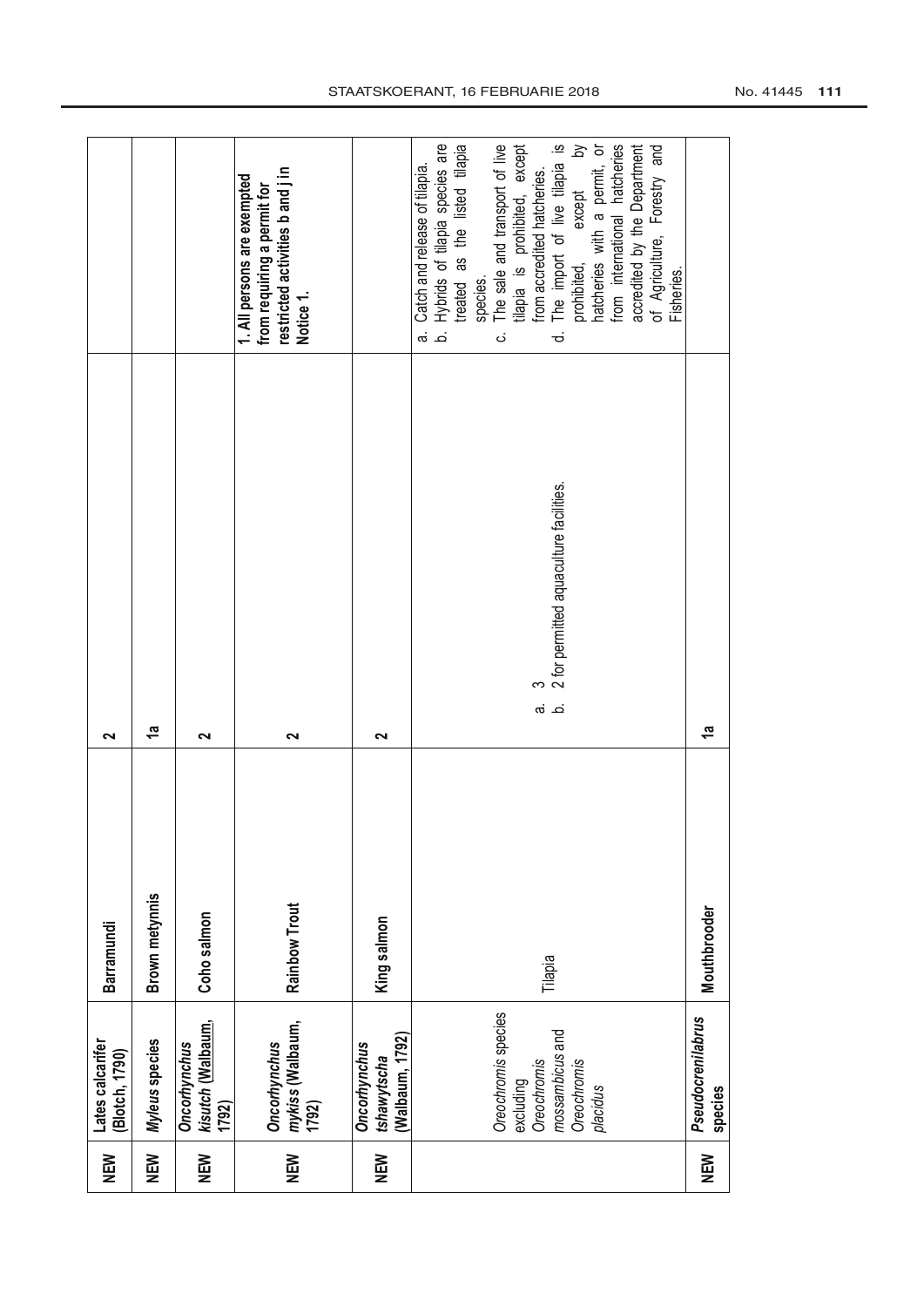| NEW        | Lates calcarifer<br>[Blotch, 1790)                                                            | Barramundi     | $\sim$                                                   |                                                                                                                                                                                                                                                                                                                                                                                                                                                                       |
|------------|-----------------------------------------------------------------------------------------------|----------------|----------------------------------------------------------|-----------------------------------------------------------------------------------------------------------------------------------------------------------------------------------------------------------------------------------------------------------------------------------------------------------------------------------------------------------------------------------------------------------------------------------------------------------------------|
| NEW        | Myleus species                                                                                | Brown metynnis | 1ª                                                       |                                                                                                                                                                                                                                                                                                                                                                                                                                                                       |
| NEW        | kisutch (Walbaum,<br>Oncorhynchus<br>1792)                                                    | Coho salmon    | $\sim$                                                   |                                                                                                                                                                                                                                                                                                                                                                                                                                                                       |
| NEW<br>N   | <i>mykiss</i> (Walbaum,<br>1792)<br>Oncorhynchus                                              | Rainbow Trout  | 2                                                        | restricted activities b and j in<br>1. All persons are exempted<br>from requiring a permit for<br>Notice 1.                                                                                                                                                                                                                                                                                                                                                           |
| NEM        | (Walbaum, 1792)<br>Oncorhynchus<br>tshawytscha                                                | King salmon    | $\sim$                                                   |                                                                                                                                                                                                                                                                                                                                                                                                                                                                       |
|            | Oreochromis species<br>mossambicus and<br>Oreochromis<br>Oreochromis<br>excluding<br>placidus | Tilapia        | 3<br>2 for permitted aquaculture facilities.<br>.<br>പ്ത | Hybrids of tilapia species are<br>treated as the listed tilapia<br>The sale and transport of live<br>The import of live tilapia is<br>$\gtrsim$<br>tilapia is prohibited, except<br>natcheries with a permit, or<br>hatcheries<br>accredited by the Department<br>of Agriculture, Forestry and<br>Catch and release of tilapia.<br>from accredited hatcheries.<br>except<br>from international<br>prohibited,<br>Fisheries.<br>species.<br>.<br>ف<br>.<br>Ø<br>ಕ<br>ن |
| <b>NEW</b> | Pseudocrenilabrus<br>species                                                                  | Mouthbrooder   | $\frac{a}{b}$                                            |                                                                                                                                                                                                                                                                                                                                                                                                                                                                       |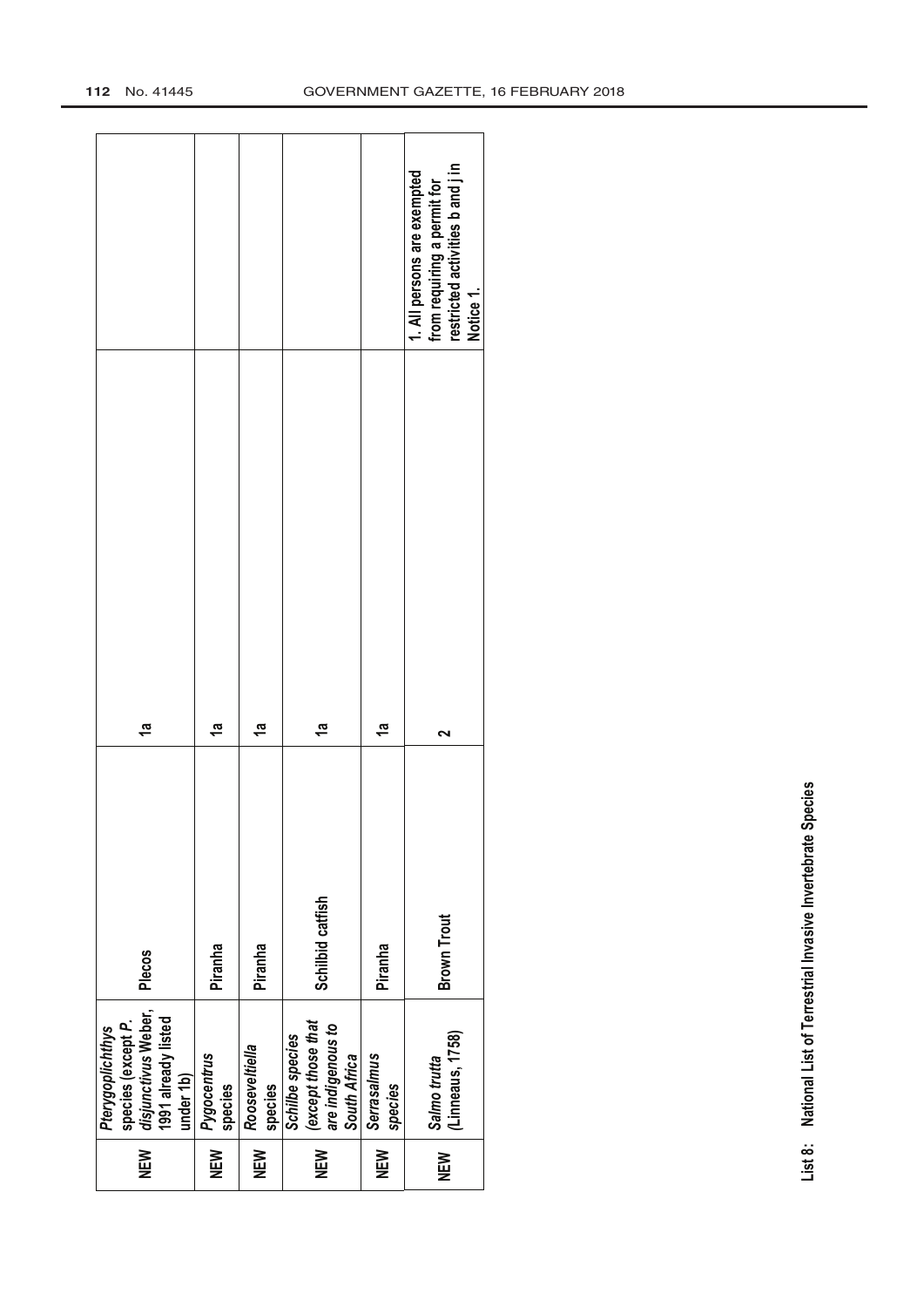|                                                                                                   |                        |                           |                                                                            |                        | restricted activities b and j in<br>1. All persons are exempted<br>from requiring a permit for<br>Notice 1. |
|---------------------------------------------------------------------------------------------------|------------------------|---------------------------|----------------------------------------------------------------------------|------------------------|-------------------------------------------------------------------------------------------------------------|
|                                                                                                   |                        |                           |                                                                            |                        |                                                                                                             |
| 5                                                                                                 | $\tilde{a}$            | $\frac{a}{\tau}$          | 5                                                                          | 1a                     | ົ                                                                                                           |
| <b>Plecos</b>                                                                                     | Piranha                | Piranha                   | Schilbid catfish                                                           | Piranha                | <b>Brown Trout</b>                                                                                          |
| disjunctivus Weber,<br>1991 already listed<br>species (except P.<br>Pterygoplichthys<br>under 1b) | Pygocentrus<br>species | Rooseveltiella<br>species | (except those that<br>are indigenous to<br>Schilbe species<br>South Africa | Serrasalmus<br>species | (Linneaus, 1758)<br>Salmo trutta                                                                            |
| NEM                                                                                               | NEN<br>N               | NEW                       | NEW                                                                        | NEW                    | NEW                                                                                                         |

List 8: National List of Terrestrial Invasive Invertebrate Species **List 8: National List of Terrestrial Invasive Invertebrate Species**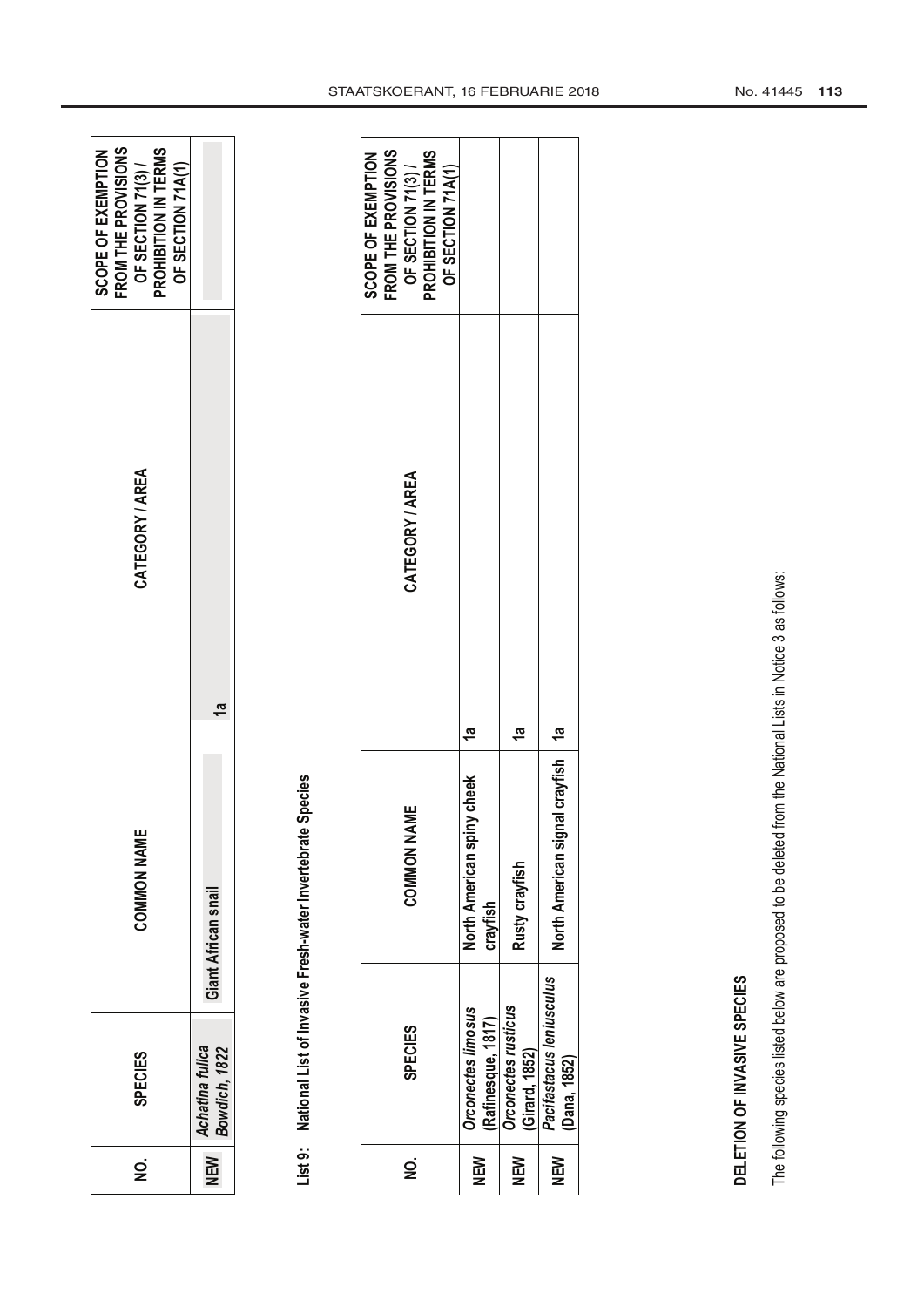| Giant African snail<br>Achatina fulica<br>Bowdich, 1822<br>NEW | g | <b>SPECIES</b> | <b>COMMON NAME</b> | CATEGORY / AREA | FROM THE PROVISIONS<br>SCOPE OF EXEMPTION<br>PROHIBITION IN TERMS<br>OF SECTION 71(3)/<br>OF SECTION 71A(1) |
|----------------------------------------------------------------|---|----------------|--------------------|-----------------|-------------------------------------------------------------------------------------------------------------|
|                                                                |   |                |                    |                 |                                                                                                             |

# List 9: National List of Invasive Fresh-water Invertebrate Species **List 9: National List of Invasive Fresh-water Invertebrate Species**

| g   | <b>SPECIES</b>                                  | ш<br><b>COMMON NAM</b>                    | CATEGORY / AREA | FROM THE PROVISIONS<br>OF SECTION 71(3) /<br>PROHIBITION IN TERMS<br><b>SCOPE OF EXEMPTION</b><br>OF SECTION 71A(1) |
|-----|-------------------------------------------------|-------------------------------------------|-----------------|---------------------------------------------------------------------------------------------------------------------|
| NEM | <b>Drconectes limosus</b><br>(Rafinesque, 1817) | cheek<br>North American spiny<br>crayfish |                 |                                                                                                                     |
| NEM | <b>Drconectes rusticus</b><br>Girard, 1852)     | Rusty crayfish                            | ra<br>T         |                                                                                                                     |
| NEM | Pacifastacus leniusculus<br>Dana, 1852)         | I crayfish   1a<br>North American signal  |                 |                                                                                                                     |

### DELETION OF INVASIVE SPECIES **DELETION OF INVASIVE SPECIES**

The following species listed below are proposed to be deleted from the National Lists in Notice 3 as follows: The following species listed below are proposed to be deleted from the National Lists in Notice 3 as follows: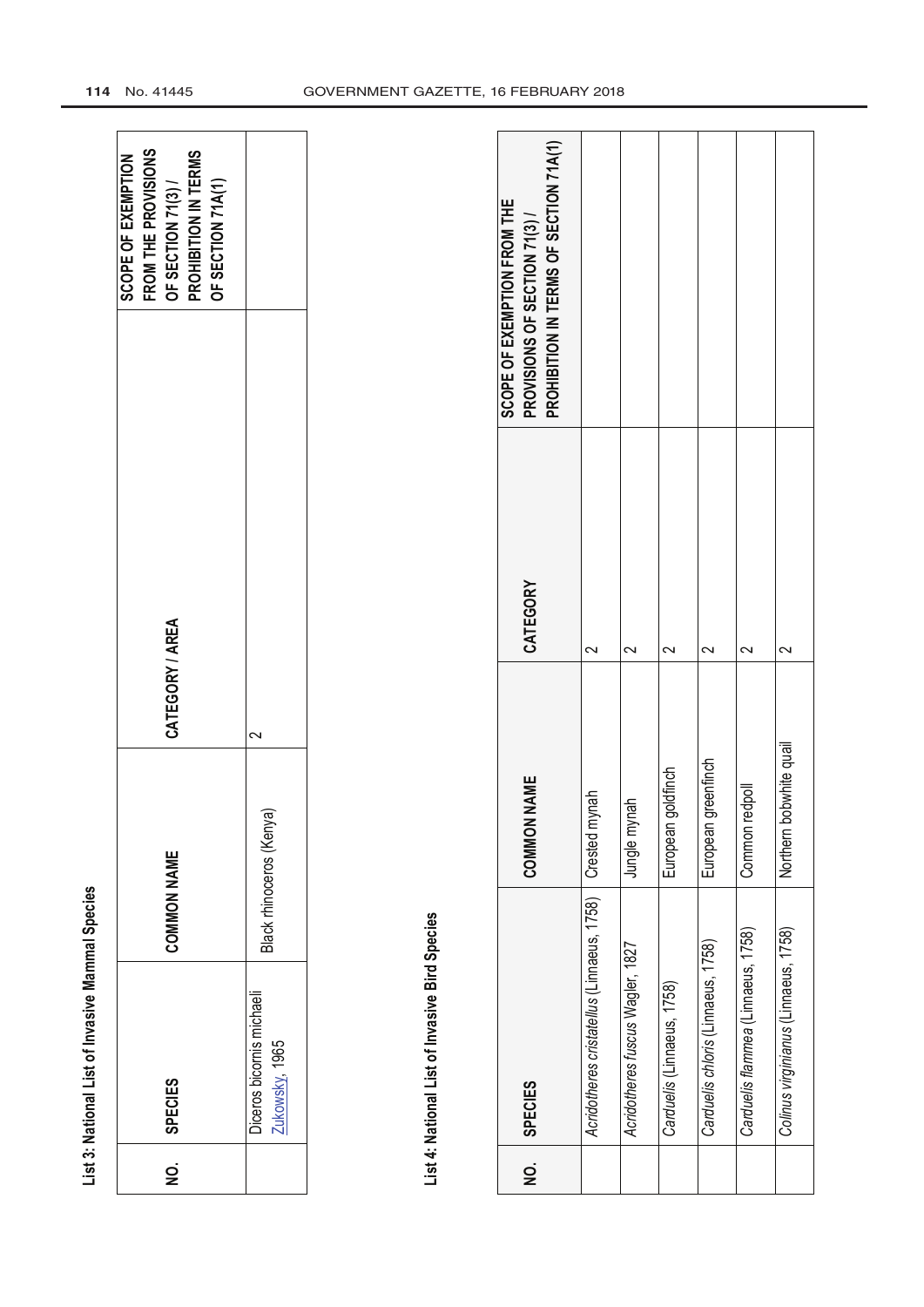|                    | List 3: National List of Invasive Mammal Species |                          |                         |          |                                                                                                                   |  |
|--------------------|--------------------------------------------------|--------------------------|-------------------------|----------|-------------------------------------------------------------------------------------------------------------------|--|
| $\dot{\mathbf{p}}$ | <b>SPECIES</b>                                   | <b>COMMON NAME</b>       | CATEGORY / AREA         |          | FROM THE PROVISIONS<br>PROHIBITION IN TERMS<br><b>SCOPE OF EXEMPTION</b><br>OF SECTION 71A(1)<br>OF SECTION 71(3) |  |
|                    | Diceros bicornis michaeli<br>Zukowsky 1965       | Black rhinoceros (Kenya) | 2                       |          |                                                                                                                   |  |
|                    |                                                  |                          |                         |          |                                                                                                                   |  |
|                    | List 4: National List of Invasive Bird Species   |                          |                         |          |                                                                                                                   |  |
| $\dot{Q}$          | <b>SPECIES</b>                                   |                          | <b>NAME</b><br>COMMON   | CATEGORY | PROHIBITION IN TERMS OF SECTION 71A(1)<br>SCOPE OF EXEMPTION FROM THE<br>PROVISIONS OF SECTION 71(3)/             |  |
|                    | Acridotheres cristatellus (Linnaeus, 1758)       |                          | Crested mynah           | $\sim$   |                                                                                                                   |  |
|                    | Acridotheres fuscus Wagler, 1827                 |                          | Jungle mynah            | 2        |                                                                                                                   |  |
|                    | Carduelis (Linnaeus, 1758)                       |                          | goldfinch<br>European ( | $\sim$   |                                                                                                                   |  |
|                    | Carduelis chloris (Linnaeus, 1758)               |                          | greenfinch<br>European  | 2        |                                                                                                                   |  |
|                    | Carduelis flammea (Linnaeus, 1758)               |                          | redpoll<br>Common r     | $\sim$   |                                                                                                                   |  |
|                    | Colinus virginianus (Linnaeus, 1758)             |                          | Northern bobwhite quail | $\sim$   |                                                                                                                   |  |